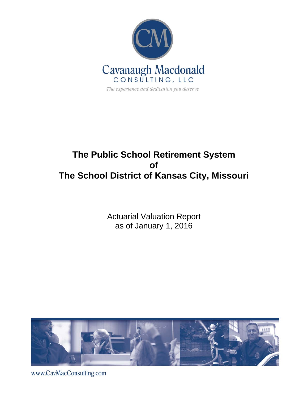

# **The Public School Retirement System of The School District of Kansas City, Missouri**

Actuarial Valuation Report as of January 1, 2016



www.CavMacConsulting.com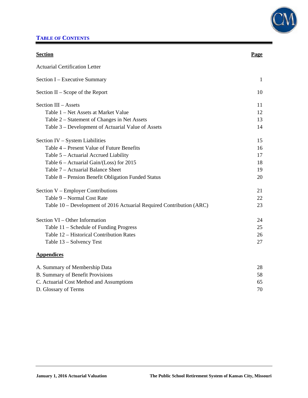

## **TABLE OF CONTENTS**

| <b>Section</b>                                                       | Page         |
|----------------------------------------------------------------------|--------------|
| <b>Actuarial Certification Letter</b>                                |              |
| Section I - Executive Summary                                        | $\mathbf{1}$ |
| Section $II -$ Scope of the Report                                   | 10           |
| Section III - Assets                                                 | 11           |
| Table 1 – Net Assets at Market Value                                 | 12           |
| Table 2 – Statement of Changes in Net Assets                         | 13           |
| Table 3 – Development of Actuarial Value of Assets                   | 14           |
| Section IV - System Liabilities                                      | 15           |
| Table 4 – Present Value of Future Benefits                           | 16           |
| Table 5 - Actuarial Accrued Liability                                | 17           |
| Table $6 -$ Actuarial Gain/(Loss) for 2015                           | 18           |
| Table 7 – Actuarial Balance Sheet                                    | 19           |
| Table 8 - Pension Benefit Obligation Funded Status                   | 20           |
| Section V – Employer Contributions                                   | 21           |
| Table 9 - Normal Cost Rate                                           | 22           |
| Table 10 – Development of 2016 Actuarial Required Contribution (ARC) | 23           |
| Section VI – Other Information                                       | 24           |
| Table 11 – Schedule of Funding Progress                              | 25           |
| Table 12 - Historical Contribution Rates                             | 26           |
| Table 13 - Solvency Test                                             | 27           |
| <b>Appendices</b>                                                    |              |
| A. Summary of Membership Data                                        | 28           |
| <b>B. Summary of Benefit Provisions</b>                              | 58           |
| C. Actuarial Cost Method and Assumptions                             | 65           |
| D. Glossary of Terms                                                 | 70           |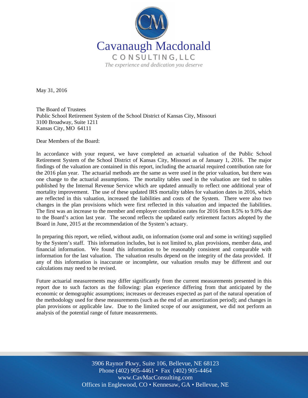

May 31, 2016

The Board of Trustees Public School Retirement System of the School District of Kansas City, Missouri 3100 Broadway, Suite 1211 Kansas City, MO 64111

Dear Members of the Board:

In accordance with your request, we have completed an actuarial valuation of the Public School Retirement System of the School District of Kansas City, Missouri as of January 1, 2016. The major findings of the valuation are contained in this report, including the actuarial required contribution rate for the 2016 plan year. The actuarial methods are the same as were used in the prior valuation, but there was one change to the actuarial assumptions. The mortality tables used in the valuation are tied to tables published by the Internal Revenue Service which are updated annually to reflect one additional year of mortality improvement. The use of these updated IRS mortality tables for valuation dates in 2016, which are reflected in this valuation, increased the liabilities and costs of the System. There were also two changes in the plan provisions which were first reflected in this valuation and impacted the liabilities. The first was an increase to the member and employer contribution rates for 2016 from 8.5% to 9.0% due to the Board's action last year. The second reflects the updated early retirement factors adopted by the Board in June, 2015 at the recommendation of the System's actuary.

In preparing this report, we relied, without audit, on information (some oral and some in writing) supplied by the System's staff. This information includes, but is not limited to, plan provisions, member data, and financial information. We found this information to be reasonably consistent and comparable with information for the last valuation. The valuation results depend on the integrity of the data provided. If any of this information is inaccurate or incomplete, our valuation results may be different and our calculations may need to be revised.

Future actuarial measurements may differ significantly from the current measurements presented in this report due to such factors as the following: plan experience differing from that anticipated by the economic or demographic assumptions; increases or decreases expected as part of the natural operation of the methodology used for these measurements (such as the end of an amortization period); and changes in plan provisions or applicable law. Due to the limited scope of our assignment, we did not perform an analysis of the potential range of future measurements.

> Off Offices in Englewood, CO • Kennesaw, GA • Bellevue, NE 3906 Raynor Pkwy, Suite 106, Bellevue, NE 68123 Phone (402) 905-4461 • Fax (402) 905-4464 www.CavMacConsulting.com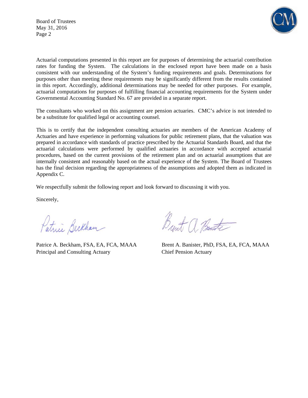Board of Trustees May 31, 2016 Page 2



Actuarial computations presented in this report are for purposes of determining the actuarial contribution rates for funding the System. The calculations in the enclosed report have been made on a basis consistent with our understanding of the System's funding requirements and goals. Determinations for purposes other than meeting these requirements may be significantly different from the results contained in this report. Accordingly, additional determinations may be needed for other purposes. For example, actuarial computations for purposes of fulfilling financial accounting requirements for the System under Governmental Accounting Standard No. 67 are provided in a separate report.

The consultants who worked on this assignment are pension actuaries. CMC's advice is not intended to be a substitute for qualified legal or accounting counsel.

This is to certify that the independent consulting actuaries are members of the American Academy of Actuaries and have experience in performing valuations for public retirement plans, that the valuation was prepared in accordance with standards of practice prescribed by the Actuarial Standards Board, and that the actuarial calculations were performed by qualified actuaries in accordance with accepted actuarial procedures, based on the current provisions of the retirement plan and on actuarial assumptions that are internally consistent and reasonably based on the actual experience of the System. The Board of Trustees has the final decision regarding the appropriateness of the assumptions and adopted them as indicated in Appendix C.

We respectfully submit the following report and look forward to discussing it with you.

Sincerely,

Patrice Beckham

Principal and Consulting Actuary Chief Pension Actuary

Brent a Bant

Patrice A. Beckham, FSA, EA, FCA, MAAA Brent A. Banister, PhD, FSA, EA, FCA, MAAA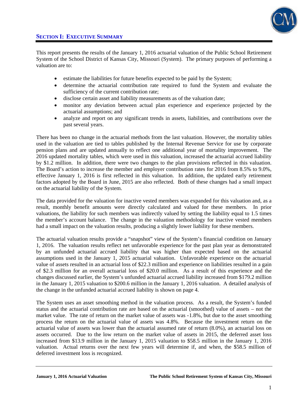This report presents the results of the January 1, 2016 actuarial valuation of the Public School Retirement System of the School District of Kansas City, Missouri (System). The primary purposes of performing a valuation are to:

- estimate the liabilities for future benefits expected to be paid by the System;
- determine the actuarial contribution rate required to fund the System and evaluate the sufficiency of the current contribution rate;
- disclose certain asset and liability measurements as of the valuation date;
- monitor any deviation between actual plan experience and experience projected by the actuarial assumptions; and
- analyze and report on any significant trends in assets, liabilities, and contributions over the past several years.

There has been no change in the actuarial methods from the last valuation. However, the mortality tables used in the valuation are tied to tables published by the Internal Revenue Service for use by corporate pension plans and are updated annually to reflect one additional year of mortality improvement. The 2016 updated mortality tables, which were used in this valuation, increased the actuarial accrued liability by \$1.2 million. In addition, there were two changes to the plan provisions reflected in this valuation. The Board's action to increase the member and employer contribution rates for 2016 from 8.5% to 9.0%, effective January 1, 2016 is first reflected in this valuation. In addition, the updated early retirement factors adopted by the Board in June, 2015 are also reflected. Both of these changes had a small impact on the actuarial liability of the System.

The data provided for the valuation for inactive vested members was expanded for this valuation and, as a result, monthly benefit amounts were directly calculated and valued for these members. In prior valuations, the liability for such members was indirectly valued by setting the liability equal to 1.5 times the member's account balance. The change in the valuation methodology for inactive vested members had a small impact on the valuation results, producing a slightly lower liability for these members.

The actuarial valuation results provide a "snapshot" view of the System's financial condition on January 1, 2016. The valuation results reflect net unfavorable experience for the past plan year as demonstrated by an unfunded actuarial accrued liability that was higher than expected based on the actuarial assumptions used in the January 1, 2015 actuarial valuation. Unfavorable experience on the actuarial value of assets resulted in an actuarial loss of \$22.3 million and experience on liabilities resulted in a gain of \$2.3 million for an overall actuarial loss of \$20.0 million. As a result of this experience and the changes discussed earlier, the System's unfunded actuarial accrued liability increased from \$179.2 million in the January 1, 2015 valuation to \$200.6 million in the January 1, 2016 valuation. A detailed analysis of the change in the unfunded actuarial accrued liability is shown on page 4.

The System uses an asset smoothing method in the valuation process. As a result, the System's funded status and the actuarial contribution rate are based on the actuarial (smoothed) value of assets – not the market value. The rate of return on the market value of assets was -1.8%, but due to the asset smoothing process the return on the actuarial value of assets was 4.8%. Because the investment return on the actuarial value of assets was lower than the actuarial assumed rate of return (8.0%), an actuarial loss on assets occurred. Due to the low return on the market value of assets in 2015, the deferred asset loss increased from \$13.9 million in the January 1, 2015 valuation to \$58.5 million in the January 1, 2016 valuation. Actual returns over the next few years will determine if, and when, the \$58.5 million of deferred investment loss is recognized.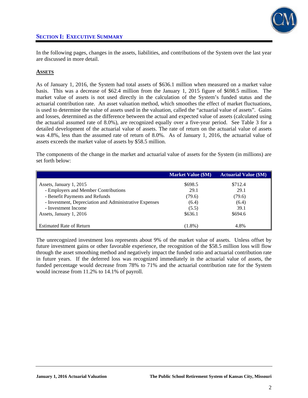

In the following pages, changes in the assets, liabilities, and contributions of the System over the last year are discussed in more detail.

### **ASSETS**

As of January 1, 2016, the System had total assets of \$636.1 million when measured on a market value basis. This was a decrease of \$62.4 million from the January 1, 2015 figure of \$698.5 million. The market value of assets is not used directly in the calculation of the System's funded status and the actuarial contribution rate. An asset valuation method, which smoothes the effect of market fluctuations, is used to determine the value of assets used in the valuation, called the "actuarial value of assets". Gains and losses, determined as the difference between the actual and expected value of assets (calculated using the actuarial assumed rate of 8.0%), are recognized equally over a five-year period. See Table 3 for a detailed development of the actuarial value of assets. The rate of return on the actuarial value of assets was 4.8%, less than the assumed rate of return of 8.0%. As of January 1, 2016, the actuarial value of assets exceeds the market value of assets by \$58.5 million.

The components of the change in the market and actuarial value of assets for the System (in millions) are set forth below:

|                                                        | <b>Market Value (\$M)</b> | <b>Actuarial Value (\$M)</b> |
|--------------------------------------------------------|---------------------------|------------------------------|
| Assets, January 1, 2015                                | \$698.5                   | \$712.4                      |
| - Employers and Member Contributions                   | 29.1                      | 29.1                         |
| - Benefit Payments and Refunds                         | (79.6)                    | (79.6)                       |
| - Investment, Depreciation and Administrative Expenses | (6.4)                     | (6.4)                        |
| - Investment Income                                    | (5.5)                     | 39.1                         |
| Assets, January 1, 2016                                | \$636.1                   | \$694.6                      |
|                                                        |                           |                              |
| <b>Estimated Rate of Return</b>                        | $(1.8\%)$                 | 4.8%                         |

The unrecognized investment loss represents about 9% of the market value of assets. Unless offset by future investment gains or other favorable experience, the recognition of the \$58.5 million loss will flow through the asset smoothing method and negatively impact the funded ratio and actuarial contribution rate in future years. If the deferred loss was recognized immediately in the actuarial value of assets, the funded percentage would decrease from 78% to 71% and the actuarial contribution rate for the System would increase from 11.2% to 14.1% of payroll.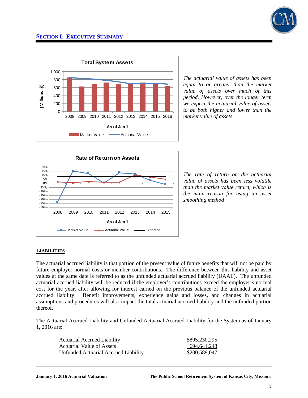



*The actuarial value of assets has been equal to or greater than the market value of assets over much of this period. However, over the longer term we expect the actuarial value of assets to be both higher and lower than the market value of assets.* 



*The rate of return on the actuarial value of assets has been less volatile than the market value return, which is the main reason for using an asset smoothing method*

### **LIABILITIES**

The actuarial accrued liability is that portion of the present value of future benefits that will not be paid by future employer normal costs or member contributions. The difference between this liability and asset values at the same date is referred to as the unfunded actuarial accrued liability (UAAL). The unfunded actuarial accrued liability will be reduced if the employer's contributions exceed the employer's normal cost for the year, after allowing for interest earned on the previous balance of the unfunded actuarial accrued liability. Benefit improvements, experience gains and losses, and changes in actuarial assumptions and procedures will also impact the total actuarial accrued liability and the unfunded portion thereof.

The Actuarial Accrued Liability and Unfunded Actuarial Accrued Liability for the System as of January 1, 2016 are:

| <b>Actuarial Accrued Liability</b>   | \$895,230,295 |
|--------------------------------------|---------------|
| Actuarial Value of Assets            | 694,641,248   |
| Unfunded Actuarial Accrued Liability | \$200,589,047 |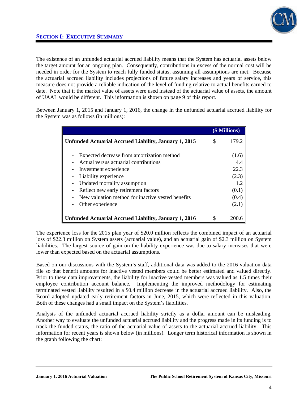

The existence of an unfunded actuarial accrued liability means that the System has actuarial assets below the target amount for an ongoing plan. Consequently, contributions in excess of the normal cost will be needed in order for the System to reach fully funded status, assuming all assumptions are met. Because the actuarial accrued liability includes projections of future salary increases and years of service, this measure does not provide a reliable indication of the level of funding relative to actual benefits earned to date. Note that if the market value of assets were used instead of the actuarial value of assets, the amount of UAAL would be different. This information is shown on page 9 of this report.

Between January 1, 2015 and January 1, 2016, the change in the unfunded actuarial accrued liability for the System was as follows (in millions):

|                                                                                           |    | (\$ Millions)  |
|-------------------------------------------------------------------------------------------|----|----------------|
| <b>Unfunded Actuarial Accrued Liability, January 1, 2015</b>                              | \$ | 179.2          |
| Expected decrease from amortization method<br>Actual versus actuarial contributions       |    | (1.6)<br>4.4   |
| Investment experience                                                                     |    | 22.3           |
| Liability experience<br>Updated mortality assumption                                      |    | (2.3)<br>1.2   |
| Reflect new early retirement factors<br>New valuation method for inactive vested benefits |    | (0.1)<br>(0.4) |
| Other experience                                                                          |    | (2.1)          |
| <b>Unfunded Actuarial Accrued Liability, January 1, 2016</b>                              | S  | 200.6          |

The experience loss for the 2015 plan year of \$20.0 million reflects the combined impact of an actuarial loss of \$22.3 million on System assets (actuarial value), and an actuarial gain of \$2.3 million on System liabilities. The largest source of gain on the liability experience was due to salary increases that were lower than expected based on the actuarial assumptions.

Based on our discussions with the System's staff, additional data was added to the 2016 valuation data file so that benefit amounts for inactive vested members could be better estimated and valued directly. Prior to these data improvements, the liability for inactive vested members was valued as 1.5 times their employee contribution account balance. Implementing the improved methodology for estimating terminated vested liability resulted in a \$0.4 million decrease in the actuarial accrued liability. Also, the Board adopted updated early retirement factors in June, 2015, which were reflected in this valuation. Both of these changes had a small impact on the System's liabilities.

Analysis of the unfunded actuarial accrued liability strictly as a dollar amount can be misleading. Another way to evaluate the unfunded actuarial accrued liability and the progress made in its funding is to track the funded status, the ratio of the actuarial value of assets to the actuarial accrued liability. This information for recent years is shown below (in millions). Longer term historical information is shown in the graph following the chart: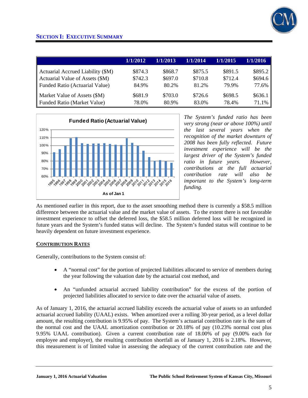

|                                   | 1/1/2012 | 1/1/2013 | 1/1/2014 | 1/1/2015 | 1/1/2016 |
|-----------------------------------|----------|----------|----------|----------|----------|
| Actuarial Accrued Liability (\$M) | \$874.3  | \$868.7  | \$875.5  | \$891.5  | \$895.2  |
| Actuarial Value of Assets (\$M)   | \$742.3  | \$697.0  | \$710.8  | \$712.4  | \$694.6  |
| Funded Ratio (Actuarial Value)    | 84.9%    | 80.2%    | 81.2%    | 79.9%    | 77.6%    |
| Market Value of Assets (\$M)      | \$681.9  | \$703.0  | \$726.6  | \$698.5  | \$636.1  |
| Funded Ratio (Market Value)       | 78.0%    | 80.9%    | 83.0%    | 78.4%    | 71.1%    |



*The System's funded ratio has been very strong (near or above 100%) until the last several years when the recognition of the market downturn of 2008 has been fully reflected. Future investment experience will be the largest driver of the System's funded ratio in future years. However, contributions at the full actuarial contribution rate will also be important to the System's long-term funding.* 

As mentioned earlier in this report, due to the asset smoothing method there is currently a \$58.5 million difference between the actuarial value and the market value of assets. To the extent there is not favorable investment experience to offset the deferred loss, the \$58.5 million deferred loss will be recognized in future years and the System's funded status will decline. The System's funded status will continue to be heavily dependent on future investment experience.

### **CONTRIBUTION RATES**

Generally, contributions to the System consist of:

- A "normal cost" for the portion of projected liabilities allocated to service of members during the year following the valuation date by the actuarial cost method, and
- An "unfunded actuarial accrued liability contribution" for the excess of the portion of projected liabilities allocated to service to date over the actuarial value of assets.

As of January 1, 2016, the actuarial accrued liability exceeds the actuarial value of assets so an unfunded actuarial accrued liability (UAAL) exists. When amortized over a rolling 30-year period, as a level dollar amount, the resulting contribution is 9.95% of pay. The System's actuarial contribution rate is the sum of the normal cost and the UAAL amortization contribution or 20.18% of pay (10.23% normal cost plus 9.95% UAAL contribution). Given a current contribution rate of 18.00% of pay (9.00% each for employee and employer), the resulting contribution shortfall as of January 1, 2016 is 2.18%. However, this measurement is of limited value in assessing the adequacy of the current contribution rate and the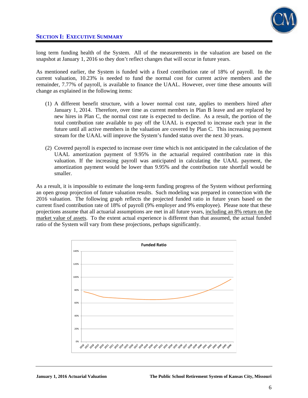

long term funding health of the System. All of the measurements in the valuation are based on the snapshot at January 1, 2016 so they don't reflect changes that will occur in future years.

As mentioned earlier, the System is funded with a fixed contribution rate of 18% of payroll. In the current valuation, 10.23% is needed to fund the normal cost for current active members and the remainder, 7.77% of payroll, is available to finance the UAAL. However, over time these amounts will change as explained in the following items:

- (1) A different benefit structure, with a lower normal cost rate, applies to members hired after January 1, 2014. Therefore, over time as current members in Plan B leave and are replaced by new hires in Plan C, the normal cost rate is expected to decline. As a result, the portion of the total contribution rate available to pay off the UAAL is expected to increase each year in the future until all active members in the valuation are covered by Plan C. This increasing payment stream for the UAAL will improve the System's funded status over the next 30 years.
- (2) Covered payroll is expected to increase over time which is not anticipated in the calculation of the UAAL amortization payment of 9.95% in the actuarial required contribution rate in this valuation. If the increasing payroll was anticipated in calculating the UAAL payment, the amortization payment would be lower than 9.95% and the contribution rate shortfall would be smaller.

As a result, it is impossible to estimate the long-term funding progress of the System without performing an open group projection of future valuation results. Such modeling was prepared in connection with the 2016 valuation. The following graph reflects the projected funded ratio in future years based on the current fixed contribution rate of 18% of payroll (9% employer and 9% employee). Please note that these projections assume that all actuarial assumptions are met in all future years, including an 8% return on the market value of assets. To the extent actual experience is different than that assumed, the actual funded ratio of the System will vary from these projections, perhaps significantly.

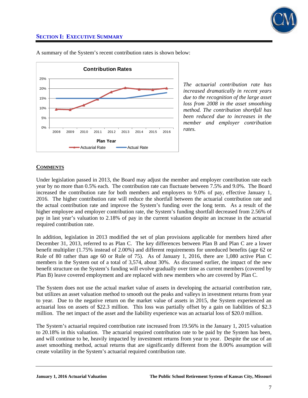



A summary of the System's recent contribution rates is shown below:

*The actuarial contribution rate has increased dramatically in recent years due to the recognition of the large asset loss from 2008 in the asset smoothing method. The contribution shortfall has been reduced due to increases in the member and employer contribution rates.* 

### **COMMENTS**

Under legislation passed in 2013, the Board may adjust the member and employer contribution rate each year by no more than 0.5% each. The contribution rate can fluctuate between 7.5% and 9.0%. The Board increased the contribution rate for both members and employers to 9.0% of pay, effective January 1, 2016. The higher contribution rate will reduce the shortfall between the actuarial contribution rate and the actual contribution rate and improve the System's funding over the long term. As a result of the higher employee and employer contribution rate, the System's funding shortfall decreased from 2.56% of pay in last year's valuation to 2.18% of pay in the current valuation despite an increase in the actuarial required contribution rate.

In addition, legislation in 2013 modified the set of plan provisions applicable for members hired after December 31, 2013, referred to as Plan C. The key differences between Plan B and Plan C are a lower benefit multiplier (1.75% instead of 2.00%) and different requirements for unreduced benefits (age 62 or Rule of 80 rather than age 60 or Rule of 75). As of January 1, 2016, there are 1,080 active Plan C members in the System out of a total of 3,574, about 30%. As discussed earlier, the impact of the new benefit structure on the System's funding will evolve gradually over time as current members (covered by Plan B) leave covered employment and are replaced with new members who are covered by Plan C.

The System does not use the actual market value of assets in developing the actuarial contribution rate, but utilizes an asset valuation method to smooth out the peaks and valleys in investment returns from year to year. Due to the negative return on the market value of assets in 2015, the System experienced an actuarial loss on assets of \$22.3 million. This loss was partially offset by a gain on liabilities of \$2.3 million. The net impact of the asset and the liability experience was an actuarial loss of \$20.0 million.

The System's actuarial required contribution rate increased from 19.56% in the January 1, 2015 valuation to 20.18% in this valuation. The actuarial required contribution rate to be paid by the System has been, and will continue to be, heavily impacted by investment returns from year to year. Despite the use of an asset smoothing method, actual returns that are significantly different from the 8.00% assumption will create volatility in the System's actuarial required contribution rate.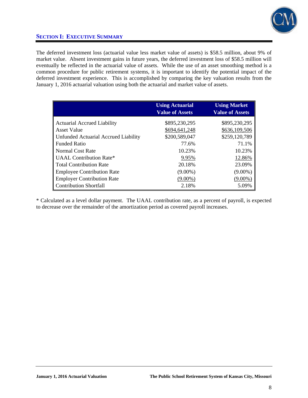

The deferred investment loss (actuarial value less market value of assets) is \$58.5 million, about 9% of market value. Absent investment gains in future years, the deferred investment loss of \$58.5 million will eventually be reflected in the actuarial value of assets. While the use of an asset smoothing method is a common procedure for public retirement systems, it is important to identify the potential impact of the deferred investment experience. This is accomplished by comparing the key valuation results from the January 1, 2016 actuarial valuation using both the actuarial and market value of assets.

|                                             | <b>Using Actuarial</b> | <b>Using Market</b>    |
|---------------------------------------------|------------------------|------------------------|
|                                             | <b>Value of Assets</b> | <b>Value of Assets</b> |
| <b>Actuarial Accrued Liability</b>          | \$895,230,295          | \$895,230,295          |
| <b>Asset Value</b>                          | \$694,641,248          | \$636,109,506          |
| <b>Unfunded Actuarial Accrued Liability</b> | \$200,589,047          | \$259,120,789          |
| <b>Funded Ratio</b>                         | 77.6%                  | 71.1%                  |
| Normal Cost Rate                            | 10.23%                 | 10.23%                 |
| UAAL Contribution Rate*                     | 9.95%                  | 12.86%                 |
| <b>Total Contribution Rate</b>              | 20.18%                 | 23.09%                 |
| <b>Employee Contribution Rate</b>           | $(9.00\%)$             | $(9.00\%)$             |
| <b>Employer Contribution Rate</b>           | $(9.00\%)$             | $(9.00\%)$             |
| <b>Contribution Shortfall</b>               | 2.18%                  | 5.09%                  |

\* Calculated as a level dollar payment. The UAAL contribution rate, as a percent of payroll, is expected to decrease over the remainder of the amortization period as covered payroll increases.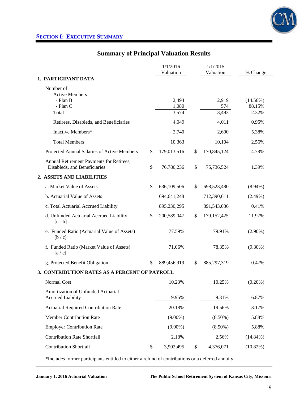# **Summary of Principal Valuation Results**

|                                                                          |    | 1/1/2016<br>Valuation   | 1/1/2015<br>Valuation | % Change                       |
|--------------------------------------------------------------------------|----|-------------------------|-----------------------|--------------------------------|
| 1. PARTICIPANT DATA                                                      |    |                         |                       |                                |
| Number of:                                                               |    |                         |                       |                                |
| <b>Active Members</b><br>- Plan B<br>- Plan C<br>Total                   |    | 2,494<br>1,080<br>3,574 | 2,919<br>574<br>3,493 | $(14.56\%)$<br>88.15%<br>2.32% |
| Retirees, Disableds, and Beneficiaries                                   |    | 4,049                   | 4,011                 | 0.95%                          |
| Inactive Members*                                                        |    | 2,740                   | 2,600                 | 5.38%                          |
| <b>Total Members</b>                                                     |    | 10,363                  | 10,104                | 2.56%                          |
| Projected Annual Salaries of Active Members                              | \$ | 179,013,516             | \$<br>170,845,124     | 4.78%                          |
| Annual Retirement Payments for Retirees,<br>Disableds, and Beneficiaries | \$ | 76,786,236              | \$<br>75,736,524      | 1.39%                          |
| 2. ASSETS AND LIABILITIES                                                |    |                         |                       |                                |
| a. Market Value of Assets                                                | \$ | 636,109,506             | \$<br>698,523,480     | $(8.94\%)$                     |
| b. Actuarial Value of Assets                                             |    | 694,641,248             | 712,390,611           | $(2.49\%)$                     |
| c. Total Actuarial Accrued Liability                                     |    | 895,230,295             | 891,543,036           | 0.41%                          |
| d. Unfunded Actuarial Accrued Liability<br>$[c - b]$                     | S  | 200,589,047             | \$<br>179, 152, 425   | 11.97%                         |
| e. Funded Ratio (Actuarial Value of Assets)<br>[b/c]                     |    | 77.59%                  | 79.91%                | $(2.90\%)$                     |
| f. Funded Ratio (Market Value of Assets)<br>[a/c]                        |    | 71.06%                  | 78.35%                | $(9.30\%)$                     |
| g. Projected Benefit Obligation                                          | \$ | 889,456,919             | \$<br>885,297,319     | 0.47%                          |
| 3. CONTRIBUTION RATES AS A PERCENT OF PAYROLL                            |    |                         |                       |                                |
| <b>Normal Cost</b>                                                       |    | 10.23%                  | 10.25%                | $(0.20\%)$                     |
| Amortization of Unfunded Actuarial<br><b>Accrued Liability</b>           |    | 9.95%                   | 9.31%                 | 6.87%                          |
| <b>Actuarial Required Contribution Rate</b>                              |    | 20.18%                  | 19.56%                | 3.17%                          |
| Member Contribution Rate                                                 |    | $(9.00\%)$              | $(8.50\%)$            | 5.88%                          |
| <b>Employer Contribution Rate</b>                                        |    | $(9.00\%)$              | $(8.50\%)$            | 5.88%                          |
| <b>Contribution Rate Shortfall</b>                                       |    | 2.18%                   | 2.56%                 | $(14.84\%)$                    |
| <b>Contribution Shortfall</b>                                            | \$ | 3,902,495               | \$<br>4,376,071       | $(10.82\%)$                    |
|                                                                          |    |                         |                       |                                |

\*Includes former participants entitled to either a refund of contributions or a deferred annuity.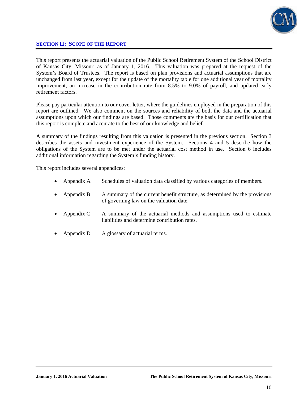

## **SECTION II: SCOPE OF THE REPORT**

This report presents the actuarial valuation of the Public School Retirement System of the School District of Kansas City, Missouri as of January 1, 2016. This valuation was prepared at the request of the System's Board of Trustees. The report is based on plan provisions and actuarial assumptions that are unchanged from last year, except for the update of the mortality table for one additional year of mortality improvement, an increase in the contribution rate from 8.5% to 9.0% of payroll, and updated early retirement factors.

Please pay particular attention to our cover letter, where the guidelines employed in the preparation of this report are outlined. We also comment on the sources and reliability of both the data and the actuarial assumptions upon which our findings are based. Those comments are the basis for our certification that this report is complete and accurate to the best of our knowledge and belief.

A summary of the findings resulting from this valuation is presented in the previous section. Section 3 describes the assets and investment experience of the System. Sections 4 and 5 describe how the obligations of the System are to be met under the actuarial cost method in use. Section 6 includes additional information regarding the System's funding history.

This report includes several appendices:

- Appendix A Schedules of valuation data classified by various categories of members.
- Appendix B A summary of the current benefit structure, as determined by the provisions of governing law on the valuation date.
- Appendix C A summary of the actuarial methods and assumptions used to estimate liabilities and determine contribution rates.
- Appendix D A glossary of actuarial terms.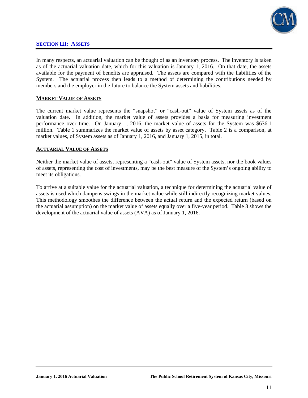

### **SECTION III: ASSETS**

In many respects, an actuarial valuation can be thought of as an inventory process. The inventory is taken as of the actuarial valuation date, which for this valuation is January 1, 2016. On that date, the assets available for the payment of benefits are appraised. The assets are compared with the liabilities of the System. The actuarial process then leads to a method of determining the contributions needed by members and the employer in the future to balance the System assets and liabilities.

### **MARKET VALUE OF ASSETS**

The current market value represents the "snapshot" or "cash-out" value of System assets as of the valuation date. In addition, the market value of assets provides a basis for measuring investment performance over time. On January 1, 2016, the market value of assets for the System was \$636.1 million. Table 1 summarizes the market value of assets by asset category. Table 2 is a comparison, at market values, of System assets as of January 1, 2016, and January 1, 2015, in total.

### **ACTUARIAL VALUE OF ASSETS**

Neither the market value of assets, representing a "cash-out" value of System assets, nor the book values of assets, representing the cost of investments, may be the best measure of the System's ongoing ability to meet its obligations.

To arrive at a suitable value for the actuarial valuation, a technique for determining the actuarial value of assets is used which dampens swings in the market value while still indirectly recognizing market values. This methodology smoothes the difference between the actual return and the expected return (based on the actuarial assumption) on the market value of assets equally over a five-year period. Table 3 shows the development of the actuarial value of assets (AVA) as of January 1, 2016.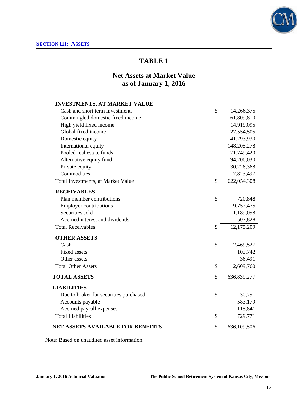# **Net Assets at Market Value as of January 1, 2016**

## **INVESTMENTS, AT MARKET VALUE**

| Cash and short term investments        | \$           | 14,266,375  |
|----------------------------------------|--------------|-------------|
| Commingled domestic fixed income       |              | 61,809,810  |
| High yield fixed income                |              | 14,919,095  |
| Global fixed income                    |              | 27,554,505  |
| Domestic equity                        |              | 141,293,930 |
| International equity                   |              | 148,205,278 |
| Pooled real estate funds               |              | 71,749,420  |
| Alternative equity fund                |              | 94,206,030  |
| Private equity                         |              | 30,226,368  |
| Commodities                            |              | 17,823,497  |
| Total Investments, at Market Value     | \$           | 622,054,308 |
| <b>RECEIVABLES</b>                     |              |             |
| Plan member contributions              | \$           | 720,848     |
| <b>Employer contributions</b>          |              | 9,757,475   |
| Securities sold                        |              | 1,189,058   |
| Accrued interest and dividends         |              | 507,828     |
| <b>Total Receivables</b>               | \$           | 12,175,209  |
| <b>OTHER ASSETS</b>                    |              |             |
| Cash                                   | $\mathbb{S}$ | 2,469,527   |
| <b>Fixed assets</b>                    |              | 103,742     |
| Other assets                           |              | 36,491      |
| <b>Total Other Assets</b>              | \$           | 2,609,760   |
| <b>TOTAL ASSETS</b>                    | \$           | 636,839,277 |
| <b>LIABILITIES</b>                     |              |             |
| Due to broker for securities purchased | \$           | 30,751      |
| Accounts payable                       |              | 583,179     |
| Accrued payroll expenses               |              | 115,841     |
| <b>Total Liabilities</b>               | \$           | 729,771     |
| NET ASSETS AVAILABLE FOR BENEFITS      | \$           | 636,109,506 |

Note: Based on unaudited asset information.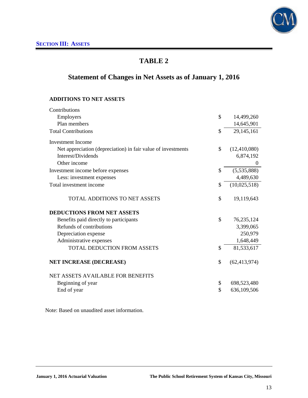

# **Statement of Changes in Net Assets as of January 1, 2016**

### **ADDITIONS TO NET ASSETS**

| Contributions                                                |                      |
|--------------------------------------------------------------|----------------------|
| Employers                                                    | \$<br>14,499,260     |
| Plan members                                                 | 14,645,901           |
| <b>Total Contributions</b>                                   | \$<br>29,145,161     |
| <b>Investment Income</b>                                     |                      |
| Net appreciation (depreciation) in fair value of investments | \$<br>(12, 410, 080) |
| Interest/Dividends                                           | 6,874,192            |
| Other income                                                 | $\overline{0}$       |
| Investment income before expenses                            | \$<br>(5,535,888)    |
| Less: investment expenses                                    | 4,489,630            |
| Total investment income                                      | \$<br>(10,025,518)   |
| <b>TOTAL ADDITIONS TO NET ASSETS</b>                         | \$<br>19,119,643     |
| <b>DEDUCTIONS FROM NET ASSETS</b>                            |                      |
| Benefits paid directly to participants                       | \$<br>76,235,124     |
| Refunds of contributions                                     | 3,399,065            |
| Depreciation expense                                         | 250,979              |
| Administrative expenses                                      | 1,648,449            |
| <b>TOTAL DEDUCTION FROM ASSETS</b>                           | \$<br>81,533,617     |
| <b>NET INCREASE (DECREASE)</b>                               | \$<br>(62, 413, 974) |
| NET ASSETS AVAILABLE FOR BENEFITS                            |                      |
| Beginning of year                                            | \$<br>698,523,480    |
| End of year                                                  | \$<br>636,109,506    |

Note: Based on unaudited asset information.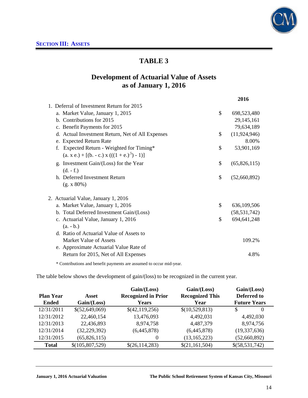

# **Development of Actuarial Value of Assets as of January 1, 2016**

|                                                  | 2016                 |
|--------------------------------------------------|----------------------|
| 1. Deferral of Investment Return for 2015        |                      |
| a. Market Value, January 1, 2015                 | \$<br>698,523,480    |
| b. Contributions for 2015                        | 29, 145, 161         |
| c. Benefit Payments for 2015                     | 79,634,189           |
| d. Actual Investment Return, Net of All Expenses | \$<br>(11, 924, 946) |
| e. Expected Return Rate                          | 8.00%                |
| Expected Return - Weighted for Timing*           | \$<br>53,901,169     |
| $(a, x, e) + [(b, -c, x)((1 + e, b^{5}) - 1)]$   |                      |
| g. Investment Gain/(Loss) for the Year           | \$<br>(65,826,115)   |
| $(d. - f.)$                                      |                      |
| h. Deferred Investment Return                    | \$<br>(52,660,892)   |
| (g. x 80%)                                       |                      |
| 2. Actuarial Value, January 1, 2016              |                      |
| a. Market Value, January 1, 2016                 | \$<br>636,109,506    |
| b. Total Deferred Investment Gain/(Loss)         | (58, 531, 742)       |
| c. Actuarial Value, January 1, 2016              | \$<br>694, 641, 248  |
| $(a. - b.)$                                      |                      |
| d. Ratio of Actuarial Value of Assets to         |                      |
| Market Value of Assets                           | 109.2%               |
| e. Approximate Actuarial Value Rate of           |                      |
| Return for 2015, Net of All Expenses             | 4.8%                 |
|                                                  |                      |

\* Contributions and benefit payments are assumed to occur mid-year.

The table below shows the development of gain/(loss) to be recognized in the current year.

|                  |                 | Gain / (Loss)              | Gain / (Loss)          | Gain/(Loss)         |
|------------------|-----------------|----------------------------|------------------------|---------------------|
| <b>Plan Year</b> | Asset           | <b>Recognized in Prior</b> | <b>Recognized This</b> | Deferred to         |
| <b>Ended</b>     | Gain / (Loss)   | <b>Years</b>               | Year                   | <b>Future Years</b> |
| 12/31/2011       | \$(52,649,069)  | \$(42,119,256)             | \$(10,529,813)         | S<br>$\theta$       |
| 12/31/2012       | 22,460,154      | 13,476,093                 | 4,492,031              | 4,492,030           |
| 12/31/2013       | 22,436,893      | 8,974,758                  | 4,487,379              | 8,974,756           |
| 12/31/2014       | (32, 229, 392)  | (6,445,878)                | (6,445,878)            | (19, 337, 636)      |
| 12/31/2015       | (65, 826, 115)  | 0                          | (13, 165, 223)         | (52,660,892)        |
| <b>Total</b>     | \$(105,807,529) | \$(26,114,283)             | \$(21,161,504)         | \$(58,531,742)      |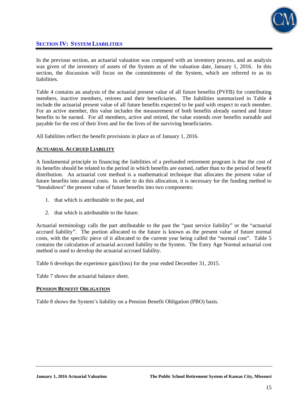

## **SECTION IV: SYSTEM LIABILITIES**

In the previous section, an actuarial valuation was compared with an inventory process, and an analysis was given of the inventory of assets of the System as of the valuation date, January 1, 2016. In this section, the discussion will focus on the commitments of the System, which are referred to as its liabilities.

Table 4 contains an analysis of the actuarial present value of all future benefits (PVFB) for contributing members, inactive members, retirees and their beneficiaries. The liabilities summarized in Table 4 include the actuarial present value of all future benefits expected to be paid with respect to each member. For an active member, this value includes the measurement of both benefits already earned and future benefits to be earned. For all members, active and retired, the value extends over benefits earnable and payable for the rest of their lives and for the lives of the surviving beneficiaries.

All liabilities reflect the benefit provisions in place as of January 1, 2016.

### **ACTUARIAL ACCRUED LIABILITY**

A fundamental principle in financing the liabilities of a prefunded retirement program is that the cost of its benefits should be related to the period in which benefits are earned, rather than to the period of benefit distribution. An actuarial cost method is a mathematical technique that allocates the present value of future benefits into annual costs. In order to do this allocation, it is necessary for the funding method to "breakdown" the present value of future benefits into two components:

- 1. that which is attributable to the past, and
- 2. that which is attributable to the future.

Actuarial terminology calls the part attributable to the past the "past service liability" or the "actuarial accrued liability". The portion allocated to the future is known as the present value of future normal costs, with the specific piece of it allocated to the current year being called the "normal cost". Table 5 contains the calculation of actuarial accrued liability to the System. The Entry Age Normal actuarial cost method is used to develop the actuarial accrued liability.

Table 6 develops the experience gain/(loss) for the year ended December 31, 2015.

Table 7 shows the actuarial balance sheet.

### **PENSION BENEFIT OBLIGATION**

Table 8 shows the System's liability on a Pension Benefit Obligation (PBO) basis.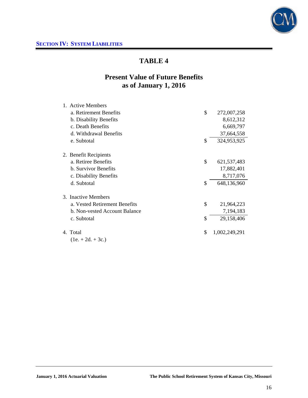

# **Present Value of Future Benefits as of January 1, 2016**

| 1. Active Members             |                     |
|-------------------------------|---------------------|
| a. Retirement Benefits        | \$<br>272,007,258   |
| b. Disability Benefits        | 8,612,312           |
| c. Death Benefits             | 6,669,797           |
| d. Withdrawal Benefits        | 37,664,558          |
| e. Subtotal                   | \$<br>324,953,925   |
| 2. Benefit Recipients         |                     |
| a. Retiree Benefits           | \$<br>621, 537, 483 |
| b. Survivor Benefits          | 17,882,401          |
| c. Disability Benefits        | 8,717,076           |
| d. Subtotal                   | \$<br>648,136,960   |
| 3. Inactive Members           |                     |
| a. Vested Retirement Benefits | \$<br>21,964,223    |
| b. Non-vested Account Balance | 7,194,183           |
| c. Subtotal                   | \$<br>29,158,406    |
| 4. Total                      | \$<br>1,002,249,291 |
| $(1e. + 2d. + 3c.)$           |                     |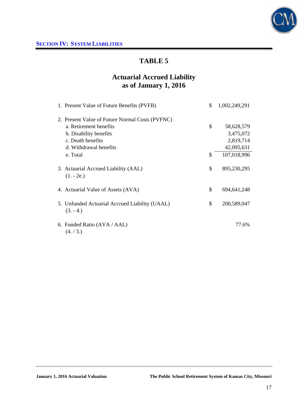

# **Actuarial Accrued Liability as of January 1, 2016**

| 1. Present Value of Future Benefits (PVFB)                   | \$<br>1,002,249,291 |
|--------------------------------------------------------------|---------------------|
| 2. Present Value of Future Normal Costs (PVFNC)              |                     |
| a. Retirement benefits                                       | \$<br>58,628,579    |
| b. Disability benefits                                       | 3,475,072           |
| c. Death benefits                                            | 2,819,714           |
| d. Withdrawal benefits                                       | 42,095,631          |
| e. Total                                                     | \$<br>107,018,996   |
| 3. Actuarial Accrued Liability (AAL)<br>$(1. - 2e.)$         | \$<br>895,230,295   |
| 4. Actuarial Value of Assets (AVA)                           | \$<br>694, 641, 248 |
| 5. Unfunded Actuarial Accrued Liability (UAAL)<br>$(3. -4.)$ | \$<br>200,589,047   |
| 6. Funded Ratio (AVA / AAL)<br>(4./3.)                       | 77.6%               |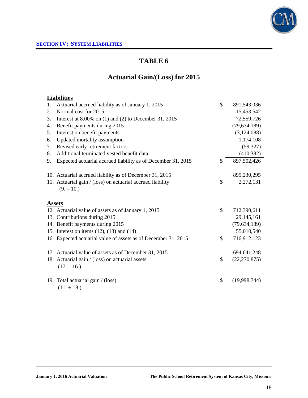

# **Actuarial Gain/(Loss) for 2015**

## **Liabilities**

| 1. | Actuarial accrued liability as of January 1, 2015              | \$<br>891,543,036    |
|----|----------------------------------------------------------------|----------------------|
| 2. | Normal cost for 2015                                           | 15,453,542           |
| 3. | Interest at 8.00% on $(1)$ and $(2)$ to December 31, 2015      | 72,559,726           |
| 4. | Benefit payments during 2015                                   | (79, 634, 189)       |
| 5. | Interest on benefit payments                                   | (3,124,088)          |
| 6. | Updated mortality assumption                                   | 1,174,108            |
| 7. | Revised early retirement factors                               | (59, 327)            |
| 8. | Additional terminated vested benefit data                      | (410, 382)           |
| 9. | Expected actuarial accrued liability as of December 31, 2015   | \$<br>897,502,426    |
|    |                                                                |                      |
|    | 10. Actuarial accrued liability as of December 31, 2015        | 895,230,295          |
|    | 11. Actuarial gain / (loss) on actuarial accrued liability     | \$<br>2,272,131      |
|    | $(9. - 10.)$                                                   |                      |
|    |                                                                |                      |
|    | <b>Assets</b>                                                  |                      |
|    | 12. Actuarial value of assets as of January 1, 2015            | \$<br>712,390,611    |
|    | 13. Contributions during 2015                                  | 29, 145, 161         |
|    | 14. Benefit payments during 2015                               | (79, 634, 189)       |
|    | 15. Interest on items $(12)$ , $(13)$ and $(14)$               | 55,010,540           |
|    | 16. Expected actuarial value of assets as of December 31, 2015 | \$<br>716,912,123    |
|    |                                                                |                      |
|    | 17. Actuarial value of assets as of December 31, 2015          | 694,641,248          |
|    | 18. Actuarial gain / (loss) on actuarial assets                | \$<br>(22, 270, 875) |
|    | $(17. - 16.)$                                                  |                      |
|    |                                                                |                      |
|    | 19. Total actuarial gain / (loss)                              | \$<br>(19,998,744)   |
|    | $(11. + 18.)$                                                  |                      |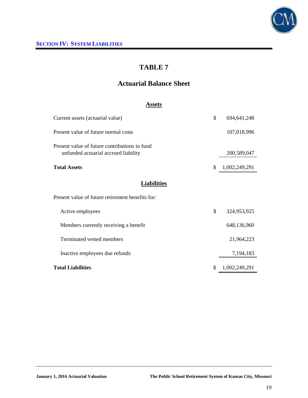

# **Actuarial Balance Sheet**

## **Assets**

| Current assets (actuarial value)                                                      | \$ | 694,641,248   |
|---------------------------------------------------------------------------------------|----|---------------|
| Present value of future normal costs                                                  |    | 107,018,996   |
| Present value of future contributions to fund<br>unfunded actuarial accrued liability |    | 200,589,047   |
| <b>Total Assets</b>                                                                   | \$ | 1,002,249,291 |
| <b>Liabilities</b>                                                                    |    |               |
| Present value of future retirement benefits for:                                      |    |               |
| Active employees                                                                      | \$ | 324,953,925   |
| Members currently receiving a benefit                                                 |    | 648,136,960   |
| Terminated vested members                                                             |    | 21,964,223    |
| Inactive employees due refunds                                                        |    | 7,194,183     |
| <b>Total Liabilities</b>                                                              | S  | 1,002,249,291 |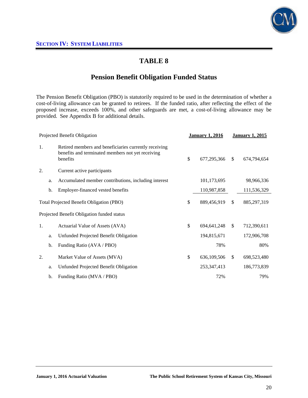

## **Pension Benefit Obligation Funded Status**

The Pension Benefit Obligation (PBO) is statutorily required to be used in the determination of whether a cost-of-living allowance can be granted to retirees. If the funded ratio, after reflecting the effect of the proposed increase, exceeds 100%, and other safeguards are met, a cost-of-living allowance may be provided. See Appendix B for additional details.

|                                          |    | Projected Benefit Obligation                                                                                           | <b>January 1, 2016</b> |               | <b>January 1, 2015</b> |
|------------------------------------------|----|------------------------------------------------------------------------------------------------------------------------|------------------------|---------------|------------------------|
| 1.                                       |    | Retired members and beneficiaries currently receiving<br>benefits and terminated members not yet receiving<br>benefits | \$<br>677,295,366      | \$            | 674,794,654            |
| 2.                                       |    | Current active participants                                                                                            |                        |               |                        |
|                                          | a. | Accumulated member contributions, including interest                                                                   | 101,173,695            |               | 98,966,336             |
|                                          | b. | Employer-financed vested benefits                                                                                      | 110,987,858            |               | 111,536,329            |
| Total Projected Benefit Obligation (PBO) |    |                                                                                                                        | \$<br>889,456,919      | <sup>\$</sup> | 885, 297, 319          |
|                                          |    | Projected Benefit Obligation funded status                                                                             |                        |               |                        |
| 1.                                       |    | Actuarial Value of Assets (AVA)                                                                                        | \$<br>694, 641, 248    | $\mathbb{S}$  | 712,390,611            |
|                                          | a. | Unfunded Projected Benefit Obligation                                                                                  | 194,815,671            |               | 172,906,708            |
|                                          | b. | Funding Ratio (AVA / PBO)                                                                                              | 78%                    |               | 80%                    |
| 2.                                       |    | Market Value of Assets (MVA)                                                                                           | \$<br>636,109,506      | \$            | 698,523,480            |
|                                          | a. | Unfunded Projected Benefit Obligation                                                                                  | 253, 347, 413          |               | 186,773,839            |
|                                          | b. | Funding Ratio (MVA / PBO)                                                                                              | 72%                    |               | 79%                    |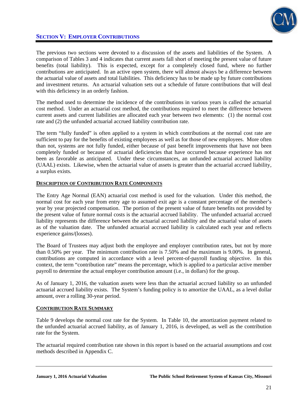

The previous two sections were devoted to a discussion of the assets and liabilities of the System. A comparison of Tables 3 and 4 indicates that current assets fall short of meeting the present value of future benefits (total liability). This is expected, except for a completely closed fund, where no further contributions are anticipated. In an active open system, there will almost always be a difference between the actuarial value of assets and total liabilities. This deficiency has to be made up by future contributions and investment returns. An actuarial valuation sets out a schedule of future contributions that will deal with this deficiency in an orderly fashion.

The method used to determine the incidence of the contributions in various years is called the actuarial cost method. Under an actuarial cost method, the contributions required to meet the difference between current assets and current liabilities are allocated each year between two elements: (1) the normal cost rate and (2) the unfunded actuarial accrued liability contribution rate.

The term "fully funded" is often applied to a system in which contributions at the normal cost rate are sufficient to pay for the benefits of existing employees as well as for those of new employees. More often than not, systems are not fully funded, either because of past benefit improvements that have not been completely funded or because of actuarial deficiencies that have occurred because experience has not been as favorable as anticipated. Under these circumstances, an unfunded actuarial accrued liability (UAAL) exists. Likewise, when the actuarial value of assets is greater than the actuarial accrued liability, a surplus exists.

### **DESCRIPTION OF CONTRIBUTION RATE COMPONENTS**

The Entry Age Normal (EAN) actuarial cost method is used for the valuation. Under this method, the normal cost for each year from entry age to assumed exit age is a constant percentage of the member's year by year projected compensation. The portion of the present value of future benefits not provided by the present value of future normal costs is the actuarial accrued liability. The unfunded actuarial accrued liability represents the difference between the actuarial accrued liability and the actuarial value of assets as of the valuation date. The unfunded actuarial accrued liability is calculated each year and reflects experience gains/(losses).

The Board of Trustees may adjust both the employee and employer contribution rates, but not by more than 0.50% per year. The minimum contribution rate is 7.50% and the maximum is 9.00%. In general, contributions are computed in accordance with a level percent-of-payroll funding objective. In this context, the term "contribution rate" means the percentage, which is applied to a particular active member payroll to determine the actual employer contribution amount (i.e., in dollars) for the group.

As of January 1, 2016, the valuation assets were less than the actuarial accrued liability so an unfunded actuarial accrued liability exists. The System's funding policy is to amortize the UAAL, as a level dollar amount, over a rolling 30-year period.

### **CONTRIBUTION RATE SUMMARY**

Table 9 develops the normal cost rate for the System. In Table 10, the amortization payment related to the unfunded actuarial accrued liability, as of January 1, 2016, is developed, as well as the contribution rate for the System.

The actuarial required contribution rate shown in this report is based on the actuarial assumptions and cost methods described in Appendix C.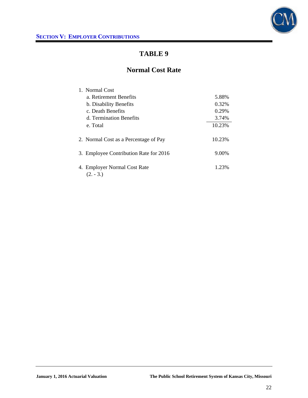

# **Normal Cost Rate**

| 1. Normal Cost                              |        |
|---------------------------------------------|--------|
| a. Retirement Benefits                      | 5.88%  |
| b. Disability Benefits                      | 0.32%  |
| c. Death Benefits                           | 0.29%  |
| d. Termination Benefits                     | 3.74%  |
| e. Total                                    | 10.23% |
| 2. Normal Cost as a Percentage of Pay       | 10.23% |
| 3. Employee Contribution Rate for 2016      | 9.00%  |
| 4. Employer Normal Cost Rate<br>$(2. - 3.)$ | 1.23%  |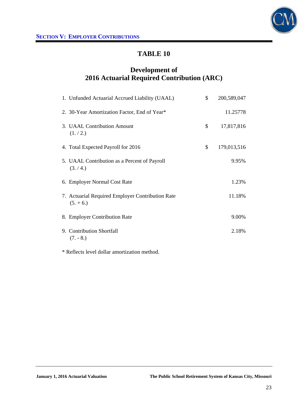

# **Development of 2016 Actuarial Required Contribution (ARC)**

| 1. Unfunded Actuarial Accrued Liability (UAAL)                  | \$<br>200,589,047 |
|-----------------------------------------------------------------|-------------------|
| 2. 30-Year Amortization Factor, End of Year*                    | 11.25778          |
| 3. UAAL Contribution Amount<br>(1./2.)                          | \$<br>17,817,816  |
| 4. Total Expected Payroll for 2016                              | \$<br>179,013,516 |
| 5. UAAL Contribution as a Percent of Payroll<br>(3./4.)         | 9.95%             |
| 6. Employer Normal Cost Rate                                    | 1.23%             |
| 7. Actuarial Required Employer Contribution Rate<br>$(5. + 6.)$ | 11.18%            |
| 8. Employer Contribution Rate                                   | 9.00%             |
| 9. Contribution Shortfall<br>$(7. - 8.)$                        | 2.18%             |

\* Reflects level dollar amortization method.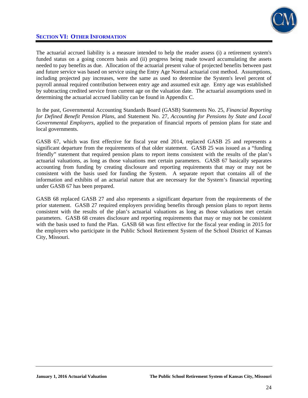

## **SECTION VI: OTHER INFORMATION**

The actuarial accrued liability is a measure intended to help the reader assess (i) a retirement system's funded status on a going concern basis and (ii) progress being made toward accumulating the assets needed to pay benefits as due. Allocation of the actuarial present value of projected benefits between past and future service was based on service using the Entry Age Normal actuarial cost method. Assumptions, including projected pay increases, were the same as used to determine the System's level percent of payroll annual required contribution between entry age and assumed exit age. Entry age was established by subtracting credited service from current age on the valuation date. The actuarial assumptions used in determining the actuarial accrued liability can be found in Appendix C.

In the past, Governmental Accounting Standards Board (GASB) Statements No. 25, *Financial Reporting for Defined Benefit Pension Plans*, and Statement No. 27, *Accounting for Pensions by State and Local Governmental Employers*, applied to the preparation of financial reports of pension plans for state and local governments.

GASB 67, which was first effective for fiscal year end 2014, replaced GASB 25 and represents a significant departure from the requirements of that older statement. GASB 25 was issued as a "funding friendly" statement that required pension plans to report items consistent with the results of the plan's actuarial valuations, as long as those valuations met certain parameters. GASB 67 basically separates accounting from funding by creating disclosure and reporting requirements that may or may not be consistent with the basis used for funding the System. A separate report that contains all of the information and exhibits of an actuarial nature that are necessary for the System's financial reporting under GASB 67 has been prepared.

GASB 68 replaced GASB 27 and also represents a significant departure from the requirements of the prior statement. GASB 27 required employers providing benefits through pension plans to report items consistent with the results of the plan's actuarial valuations as long as those valuations met certain parameters. GASB 68 creates disclosure and reporting requirements that may or may not be consistent with the basis used to fund the Plan. GASB 68 was first effective for the fiscal year ending in 2015 for the employers who participate in the Public School Retirement System of the School District of Kansas City, Missouri.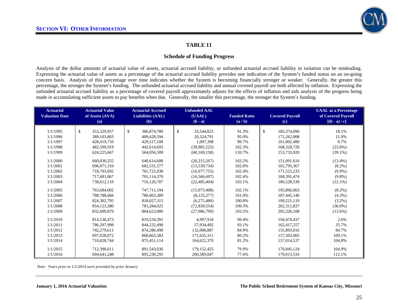

### **Schedule of Funding Progress**

Analysis of the dollar amounts of actuarial value of assets, actuarial accrued liability, or unfunded actuarial accrued liability in isolation can be misleading. Expressing the actuarial value of assets as a percentage of the actuarial accrued liability provides one indication of the System's funded status on an on-going concern basis. Analysis of this percentage over time indicates whether the System is becoming financially stronger or weaker. Generally, the greater this percentage, the stronger the System's funding. The unfunded actuarial accrued liability and annual covered payroll are both affected by inflation. Expressing the unfunded actuarial accrued liability as a percentage of covered payroll approximately adjusts for the effects of inflation and aids analysis of the progress being made in accumulating sufficient assets to pay benefits when due. Generally, the smaller this percentage, the stronger the System's funding.

| <b>Actuarial</b><br><b>Valuation Date</b> | <b>Actuarial Value</b><br>of Assets (AVA)<br>(a) | <b>Actuarial Accrued</b><br><b>Liabilities (AAL)</b><br>(b) | <b>Unfunded AAL</b><br>(UAAL)<br>$(b - a)$ | <b>Funded Ratio</b><br>(a/b) | <b>Covered Payroll</b><br>(c) | <b>UAAL</b> as a Percentage<br>of Covered Payroll<br>$[(b - a)/c]$ |
|-------------------------------------------|--------------------------------------------------|-------------------------------------------------------------|--------------------------------------------|------------------------------|-------------------------------|--------------------------------------------------------------------|
| 1/1/1995                                  | \$<br>353,329,957                                | $\mathbb{S}$<br>386,874,780                                 | $\mathbb{S}$<br>33.544.823                 | 91.3%                        | \$<br>185,374,096             | 18.1%                                                              |
| 1/1/1996                                  | 389,103,803                                      | 409,428,594                                                 | 20,324,791                                 | 95.0%                        | 171,262,008                   | 11.9%                                                              |
| 1/1/1997                                  | 428,419,710                                      | 429,517,108                                                 | 1,097,398                                  | 99.7%                        | 161,802,480                   | 0.7%                                                               |
| 1/1/1998                                  | 482.599.919                                      | 442,614,693                                                 | (39,985,225)                               | 102.3%                       | 168,328,728                   | $(23.8\%)$                                                         |
| 1/1/1999                                  | 624,225,667                                      | 564,056,509                                                 | (60, 169, 158)                             | 110.7%                       | 153,733,920                   | $(39.1\%)$                                                         |
|                                           |                                                  |                                                             |                                            |                              |                               |                                                                    |
| 1/1/2000                                  | 660.830.255                                      | 640.614.688                                                 | (20, 215, 567)                             | 103.2%                       | 151,091,616                   | $(13.4\%)$                                                         |
| 1/1/2001                                  | 696,071,310                                      | 682,531,577                                                 | (13, 539, 734)                             | 102.0%                       | 165,795,367                   | $(8.2\%)$                                                          |
| 1/1/2002                                  | 718,703,692                                      | 701,725,938                                                 | (16, 977, 755)                             | 102.4%                       | 171,523,233                   | $(9.9\%)$                                                          |
| 1/1/2003                                  | 717,681,067                                      | 701.114.370                                                 | (16, 566, 697)                             | 102.4%                       | 168,391,474                   | $(9.8\%)$                                                          |
| 1/1/2004                                  | 738,612,110                                      | 716,126,707                                                 | (22, 485, 404)                             | 103.1%                       | 186,528,530                   | $(12.1\%)$                                                         |
| 1/1/2005                                  | 763,684,602                                      | 747.711.194                                                 | (15,973,408)                               | 102.1%                       | 195,866,663                   | $(8.2\%)$                                                          |
| 1/1/2006                                  | 788,788,666                                      | 780,663,389                                                 | (8, 125, 277)                              | 101.0%                       | 187,445,140                   | $(4.3\%)$                                                          |
| 1/1/2007                                  | 824, 302, 795                                    | 818,027,315                                                 | (6,275,480)                                | 100.8%                       | 199,221,110                   | $(3.2\%)$                                                          |
| 1/1/2008                                  | 854,123,580                                      | 781.284.025                                                 | (72,839,554)                               | 109.3%                       | 202.311.837                   | $(36.0\%)$                                                         |
| 1/1/2009                                  | 832,609,879                                      | 804,623,080                                                 | (27,986,799)                               | 103.5%                       | 205, 326, 108                 | $(13.6\%)$                                                         |
|                                           |                                                  |                                                             |                                            |                              |                               |                                                                    |
| 1/1/2010                                  | 814,536,473                                      | 819.534.391                                                 | 4.997.918                                  | 99.4%                        | 194,474,437                   | 2.6%                                                               |
| 1/1/2011                                  | 786,297,998                                      | 844,232,490                                                 | 57,934,492                                 | 93.1%                        | 162,417,257                   | 35.7%                                                              |
| 1/1/2012                                  | 742,279,611                                      | 874,286,498                                                 | 132,006,887                                | 84.9%                        | 155,893,016                   | 84.7%                                                              |
| 1/1/2013                                  | 697,028,072                                      | 868,663,383                                                 | 171,635,311                                | 80.2%                        | 157,303,005                   | 109.1%                                                             |
| 1/1/2014                                  | 710,828,744                                      | 875,451,114                                                 | 164,622,370                                | 81.2%                        | 157,014,537                   | 104.8%                                                             |
| 1/1/2015                                  | 712,390,611                                      | 891,543,036                                                 | 179, 152, 425                              | 79.9%                        | 170,845,124                   | 104.9%                                                             |
| 1/1/2016                                  | 694, 641, 248                                    | 895,230,295                                                 | 200,589,047                                | 77.6%                        | 179,013,516                   | 112.1%                                                             |

 *Note: Years prior to 1/1/2014 were provided by prior Actuary*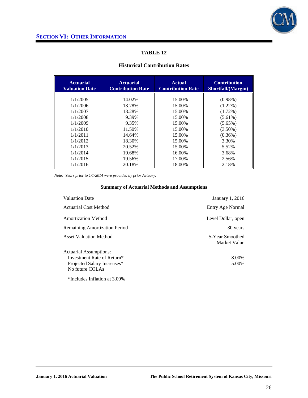

### **Historical Contribution Rates**

| <b>Actuarial</b><br><b>Valuation Date</b> | <b>Actuarial</b><br><b>Contribution Rate</b> | <b>Actual</b><br><b>Contribution Rate</b> | <b>Contribution</b><br>Shortfall/(Margin) |
|-------------------------------------------|----------------------------------------------|-------------------------------------------|-------------------------------------------|
| 1/1/2005                                  | 14.02%                                       | 15.00%                                    | $(0.98\%)$                                |
| 1/1/2006                                  | 13.78%                                       | 15.00%                                    | $(1.22\%)$                                |
| 1/1/2007                                  | 13.28%                                       | 15.00%                                    | $(1.72\%)$                                |
| 1/1/2008                                  | 9.39%                                        | 15.00%                                    | $(5.61\%)$                                |
| 1/1/2009                                  | 9.35%                                        | 15.00%                                    | $(5.65\%)$                                |
| 1/1/2010                                  | 11.50%                                       | 15.00%                                    | $(3.50\%)$                                |
| 1/1/2011                                  | 14.64%                                       | 15.00%                                    | $(0.36\%)$                                |
| 1/1/2012                                  | 18.30%                                       | 15.00%                                    | 3.30%                                     |
| 1/1/2013                                  | 20.52%                                       | 15.00%                                    | 5.52%                                     |
| 1/1/2014                                  | 19.68%                                       | 16.00%                                    | 3.68%                                     |
| 1/1/2015                                  | 19.56%                                       | 17.00%                                    | 2.56%                                     |
| 1/1/2016                                  | 20.18%                                       | 18.00%                                    | 2.18%                                     |

*Note: Years prior to 1/1/2014 were provided by prior Actuary.* 

| <b>Valuation Date</b><br>January 1, 2016                         |  |
|------------------------------------------------------------------|--|
| Actuarial Cost Method<br>Entry Age Normal                        |  |
| <b>Amortization Method</b><br>Level Dollar, open                 |  |
| <b>Remaining Amortization Period</b><br>30 years                 |  |
| <b>Asset Valuation Method</b><br>5-Year Smoothed<br>Market Value |  |
| Actuarial Assumptions:                                           |  |
| Investment Rate of Return*<br>8.00%                              |  |
| 5.00%<br>Projected Salary Increases*                             |  |
| No future COLAs                                                  |  |
| *Includes Inflation at 3.00%                                     |  |

#### **Summary of Actuarial Methods and Assumptions**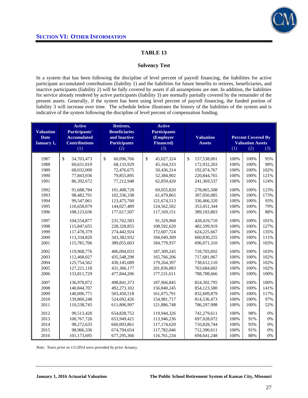

#### **Solvency Test**

In a system that has been following the discipline of level percent of payroll financing, the liabilities for active participant accumulated contributions (liability 1) and the liabilities for future benefits to retirees, beneficiaries, and inactive participants (liability 2) will be fully covered by assets if all assumptions are met. In addition, the liabilities for service already rendered by active participants (liability 3) are normally partially covered by the remainder of the present assets. Generally, if the system has been using level percent of payroll financing, the funded portion of liability 3 will increase over time. The schedule below illustrates the history of the liabilities of the system and is indicative of the system following the discipline of level percent of compensation funding.

|                                                                        | <b>Active</b><br><b>Active</b><br>Retirees, |                                      |                                  |                   |      |                           |      |
|------------------------------------------------------------------------|---------------------------------------------|--------------------------------------|----------------------------------|-------------------|------|---------------------------|------|
| Participants'<br><b>Valuation</b><br><b>Accumulated</b><br><b>Date</b> |                                             | <b>Beneficiaries</b><br>and Inactive | <b>Participants</b><br>(Employer | <b>Valuation</b>  |      | <b>Percent Covered By</b> |      |
| January 1,                                                             | <b>Contributions</b>                        | <b>Participants</b>                  | <b>Financed</b> )                | <b>Assets</b>     |      | <b>Valuation Assets</b>   |      |
|                                                                        | (1)                                         | (2)                                  | (3)                              |                   | (1)  | (2)                       | (3)  |
|                                                                        |                                             |                                      |                                  |                   |      |                           |      |
| 1987                                                                   | \$<br>54,703,473                            | \$<br>60,096,766                     | \$<br>45,027,324                 | \$<br>157,538,001 | 100% | 100%                      | 95%  |
| 1988                                                                   | 60,631,019                                  | 68,133,929                           | 45,164,333                       | 172,932,203       | 100% | 100%                      | 98%  |
| 1989                                                                   | 68,032,000                                  | 72,476,675                           | 50,436,314                       | 192,074,767       | 100% | 100%                      | 102% |
| 1990                                                                   | 77,843,936                                  | 79,855,895                           | 52,384,902                       | 220, 844, 765     | 100% | 100%                      | 121% |
| 1991                                                                   | 86,392,672                                  | 77,212,948                           | 62,859,420                       | 241,369,537       | 100% | 100%                      | 124% |
| 1992                                                                   | 91,688,784                                  | 101,408,720                          | 69,055,820                       | 278,065,508       | 100% | 100%                      | 123% |
| 1993                                                                   | 98,482,791                                  | 102,336,338                          | 61,479,865                       | 307,050,085       | 100% | 100%                      | 173% |
| 1994                                                                   | 99,547,061                                  | 123,475,760                          | 121,674,513                      | 336,466,320       | 100% | 100%                      | 93%  |
| 1995                                                                   | 110,658,079                                 | 144,027,489                          | 124,562,502                      | 353,451,344       | 100% | 100%                      | 79%  |
| 1996                                                                   | 108,123,636                                 | 177,617,507                          | 117,169,151                      | 389,103,803       | 100% | 100%                      | 88%  |
| 1997                                                                   | 104,554,877                                 | 231,762,583                          | 91,329,968                       | 428,419,710       | 100% | 100%                      | 101% |
| 1998                                                                   | 115,847,655                                 | 228,328,855                          | 108,592,620                      | 482,599,919       | 100% | 100%                      | 127% |
| 1999                                                                   | 117,478,379                                 | 274,442,924                          | 172,607,724                      | 624,225,667       | 100% | 100%                      | 135% |
| 2000                                                                   | 113,334,820                                 | 343,382,932                          | 184,049,309                      | 660,830,255       | 100% | 100%                      | 111% |
| 2001                                                                   | 115,781,706                                 | 389,055,603                          | 184,779,937                      | 696,071,310       | 100% | 100%                      | 103% |
| 2002                                                                   | 119,968,776                                 | 406,094,033                          | 187,309,245                      | 718,703,692       | 100% | 100%                      | 103% |
| 2003                                                                   | 112,468,027                                 | 435,548,298                          | 165,766,206                      | 717,681,067       | 100% | 100%                      | 102% |
| 2004                                                                   | 125,754,562                                 | 430,145,689                          | 179,264,397                      | 738,612,110       | 100% | 100%                      | 102% |
| 2005                                                                   | 127, 221, 118                               | 431,366,177                          | 201,836,083                      | 763,684,602       | 100% | 100%                      | 102% |
| 2006                                                                   | 133,811,729                                 | 477,844,206                          | 177,531,611                      | 788,788,666       | 100% | 100%                      | 100% |
| 2007                                                                   | 136,978,872                                 | 498,841,373                          | 187,966,845                      | 824,302,795       | 100% | 100%                      | 100% |
| 2008                                                                   | 140,844,707                                 | 492,273,102                          | 156,840,245                      | 854,123,580       | 100% | 100%                      | 141% |
| 2009                                                                   | 140,096,771                                 | 503,450,518                          | 161,075,791                      | 832,609,879       | 100% | 100%                      | 117% |
| 2010                                                                   | 139,860,248                                 | 524,692,426                          | 154,981,717                      | 814,536,473       | 100% | 100%                      | 97%  |
| 2011                                                                   | 110,538,745                                 | 611,806,997                          | 121,886,748                      | 786,297,998       | 100% | 100%                      | 52%  |
| 2012                                                                   | 99,513,420                                  | 654,828,752                          | 119,944,326                      | 742,279,611       | 100% | 98%                       | 0%   |
| 2013                                                                   | 100,767,726                                 | 653,949,421                          | 113,946,236                      | 697,028,072       | 100% | 91%                       | 0%   |
| 2014                                                                   | 98,272,633                                  | 660,003,861                          | 117,174,620                      | 710,828,744       | 100% | 93%                       | 0%   |
| 2015                                                                   | 98,966,336                                  | 674,794,654                          | 117,782,046                      | 712,390,611       | 100% | 91%                       | 0%   |
| 2016                                                                   | 101,173,695                                 | 677,295,366                          | 116,761,234                      | 694, 641, 248     | 100% | 88%                       | 0%   |

*Note: Years prior to 1/1/2014 were provided by prior Actuary*.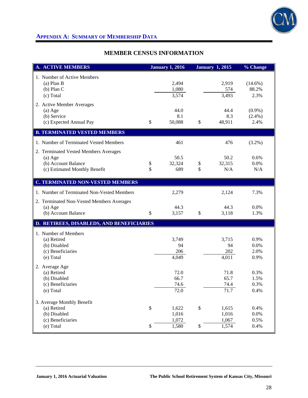

# **APPENDIX A: SUMMARY OF MEMBERSHIP DATA**

## **MEMBER CENSUS INFORMATION**

| <b>A. ACTIVE MEMBERS</b>                                                                                   |                              | <b>January 1, 2016</b>           |              | <b>January 1, 2015</b>           | % Change                       |
|------------------------------------------------------------------------------------------------------------|------------------------------|----------------------------------|--------------|----------------------------------|--------------------------------|
| 1. Number of Active Members<br>$(a)$ Plan B<br>$(b)$ Plan C<br>(c) Total                                   |                              | 2,494<br>1,080<br>3,574          |              | 2,919<br>574<br>3,493            | $(14.6\%)$<br>88.2%<br>2.3%    |
| 2. Active Member Averages<br>$(a)$ Age<br>(b) Service<br>(c) Expected Annual Pay                           | \$                           | 44.0<br>8.1<br>50,088            | \$           | 44.4<br>8.3<br>48,911            | $(0.9\%)$<br>$(2.4\%)$<br>2.4% |
| <b>B. TERMINATED VESTED MEMBERS</b>                                                                        |                              |                                  |              |                                  |                                |
| 1. Number of Terminated Vested Members                                                                     |                              | 461                              |              | 476                              | $(3.2\%)$                      |
| 2. Terminated Vested Members Averages<br>$(a)$ Age<br>(b) Account Balance<br>(c) Estimated Monthly Benefit | \$<br>\$                     | 50.5<br>32,324<br>689            | \$<br>\$     | 50.2<br>32,315<br>N/A            | 0.6%<br>0.0%<br>N/A            |
| <b>C. TERMINATED NON-VESTED MEMBERS</b>                                                                    |                              |                                  |              |                                  |                                |
| 1. Number of Terminated Non-Vested Members                                                                 |                              | 2,279                            |              | 2,124                            | 7.3%                           |
| 2. Terminated Non-Vested Members Averages<br>$(a)$ Age<br>(b) Account Balance                              | \$                           | 44.3<br>3,157                    | \$           | 44.3<br>3,118                    | 0.0%<br>1.3%                   |
| D. RETIREES, DISABLEDS, AND BENEFICIARIES                                                                  |                              |                                  |              |                                  |                                |
| 1. Number of Members<br>(a) Retired<br>(b) Disabled<br>(c) Beneficiaries<br>(e) Total                      |                              | 3,749<br>94<br>206<br>4,049      |              | 3,715<br>94<br>202<br>4,011      | 0.9%<br>0.0%<br>2.0%<br>0.9%   |
| 2. Average Age<br>(a) Retired<br>(b) Disabled<br>(c) Beneficiaries<br>(e) Total                            |                              | 72.0<br>66.7<br>74.6<br>72.0     |              | 71.8<br>65.7<br>74.4<br>71.7     | 0.3%<br>1.5%<br>0.3%<br>0.4%   |
| 3. Average Monthly Benefit<br>(a) Retired<br>(b) Disabled<br>(c) Beneficiaries<br>(e) Total                | $\mathbb{S}$<br>$\mathbb{S}$ | 1,622<br>1,016<br>1,072<br>1,580 | $\$$<br>$\$$ | 1,615<br>1,016<br>1,067<br>1,574 | 0.4%<br>0.0%<br>0.5%<br>0.4%   |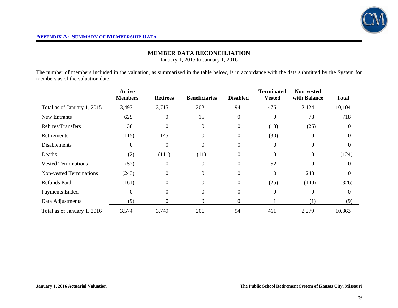

## **MEMBER DATA RECONCILIATION**

January 1, 2015 to January 1, 2016

The number of members included in the valuation, as summarized in the table below, is in accordance with the data submitted by the System for members as of the valuation date.

|                                | <b>Active</b><br><b>Members</b> | <b>Retirees</b> | <b>Beneficiaries</b> | <b>Disabled</b>  | <b>Terminated</b><br><b>Vested</b> | <b>Non-vested</b><br>with Balance | <b>Total</b> |
|--------------------------------|---------------------------------|-----------------|----------------------|------------------|------------------------------------|-----------------------------------|--------------|
| Total as of January 1, 2015    | 3,493                           | 3,715           | 202                  | 94               | 476                                | 2,124                             | 10,104       |
| <b>New Entrants</b>            | 625                             | $\Omega$        | 15                   | $\overline{0}$   | $\Omega$                           | 78                                | 718          |
| Rehires/Transfers              | 38                              | $\Omega$        | $\Omega$             | $\mathbf{0}$     | (13)                               | (25)                              | $\Omega$     |
| Retirements                    | (115)                           | 145             | $\Omega$             | $\mathbf{0}$     | (30)                               | $\theta$                          | $\Omega$     |
| <b>Disablements</b>            | $\boldsymbol{0}$                | $\theta$        | $\Omega$             | $\boldsymbol{0}$ | $\boldsymbol{0}$                   | $\Omega$                          | 0            |
| Deaths                         | (2)                             | (111)           | (11)                 | $\boldsymbol{0}$ | $\theta$                           | $\theta$                          | (124)        |
| <b>Vested Terminations</b>     | (52)                            | $\theta$        | 0                    | $\theta$         | 52                                 | $\Omega$                          | $\Omega$     |
| <b>Non-vested Terminations</b> | (243)                           | $\overline{0}$  | $\Omega$             | $\theta$         | $\Omega$                           | 243                               | $\Omega$     |
| Refunds Paid                   | (161)                           | $\overline{0}$  | $\Omega$             | $\boldsymbol{0}$ | (25)                               | (140)                             | (326)        |
| Payments Ended                 | $\Omega$                        | $\theta$        | $\Omega$             | $\overline{0}$   | $\theta$                           | $\theta$                          | $\theta$     |
| Data Adjustments               | (9)                             | 0               |                      | $\boldsymbol{0}$ |                                    | (1)                               | (9)          |
| Total as of January 1, 2016    | 3,574                           | 3,749           | 206                  | 94               | 461                                | 2,279                             | 10,363       |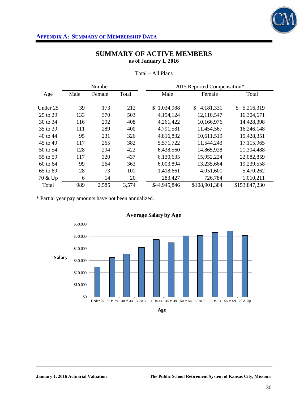

## **APPENDIX A: SUMMARY OF MEMBERSHIP DATA**

## **SUMMARY OF ACTIVE MEMBERS as of January 1, 2016**

|          |      | Number |       | 2015 Reported Compensation* |                 |                 |
|----------|------|--------|-------|-----------------------------|-----------------|-----------------|
| Age      | Male | Female | Total | Male                        | Female          | Total           |
| Under 25 | 39   | 173    | 212   | \$1,034,988                 | 4,181,331<br>\$ | 5,216,319<br>\$ |
| 25 to 29 | 133  | 370    | 503   | 4,194,124                   | 12,110,547      | 16,304,671      |
| 30 to 34 | 116  | 292    | 408   | 4,261,422                   | 10,166,976      | 14,428,398      |
| 35 to 39 | 111  | 289    | 400   | 4,791,581                   | 11,454,567      | 16,246,148      |
| 40 to 44 | 95   | 231    | 326   | 4,816,832                   | 10,611,519      | 15,428,351      |
| 45 to 49 | 117  | 265    | 382   | 5,571,722                   | 11,544,243      | 17,115,965      |
| 50 to 54 | 128  | 294    | 422   | 6,438,560                   | 14,865,928      | 21,304,488      |
| 55 to 59 | 117  | 320    | 437   | 6,130,635                   | 15,952,224      | 22,082,859      |
| 60 to 64 | 99   | 264    | 363   | 6,003,894                   | 13,235,664      | 19,239,558      |
| 65 to 69 | 28   | 73     | 101   | 1,418,661                   | 4,051,601       | 5,470,262       |
| 70 & Up  | 6    | 14     | 20    | 283,427                     | 726,784         | 1,010,211       |
| Total    | 989  | 2,585  | 3,574 | \$44,945,846                | \$108,901,384   | \$153,847,230   |

Total – All Plans

\* Partial year pay amounts have not been annualized.



**Average Salary by Age**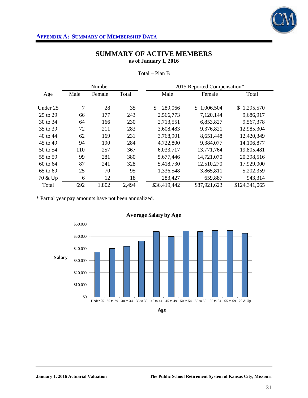

## **APPENDIX A: SUMMARY OF MEMBERSHIP DATA**

## **SUMMARY OF ACTIVE MEMBERS as of January 1, 2016**

|          |      | Number |       | 2015 Reported Compensation* |              |               |
|----------|------|--------|-------|-----------------------------|--------------|---------------|
| Age      | Male | Female | Total | Male                        | Female       | Total         |
| Under 25 | 7    | 28     | 35    | \$.<br>289,066              | \$1,006,504  | \$1,295,570   |
| 25 to 29 | 66   | 177    | 243   | 2,566,773                   | 7,120,144    | 9,686,917     |
| 30 to 34 | 64   | 166    | 230   | 2,713,551                   | 6,853,827    | 9,567,378     |
| 35 to 39 | 72   | 211    | 283   | 3,608,483                   | 9,376,821    | 12,985,304    |
| 40 to 44 | 62   | 169    | 231   | 3,768,901                   | 8,651,448    | 12,420,349    |
| 45 to 49 | 94   | 190    | 284   | 4,722,800                   | 9,384,077    | 14,106,877    |
| 50 to 54 | 110  | 257    | 367   | 6,033,717                   | 13,771,764   | 19,805,481    |
| 55 to 59 | 99   | 281    | 380   | 5,677,446                   | 14,721,070   | 20,398,516    |
| 60 to 64 | 87   | 241    | 328   | 5,418,730                   | 12,510,270   | 17,929,000    |
| 65 to 69 | 25   | 70     | 95    | 1,336,548                   | 3,865,811    | 5,202,359     |
| 70 & Up  | 6    | 12     | 18    | 283,427                     | 659,887      | 943,314       |
| Total    | 692  | 1,802  | 2,494 | \$36,419,442                | \$87,921,623 | \$124,341,065 |

Total – Plan B

\* Partial year pay amounts have not been annualized.



**Average Salary by Age**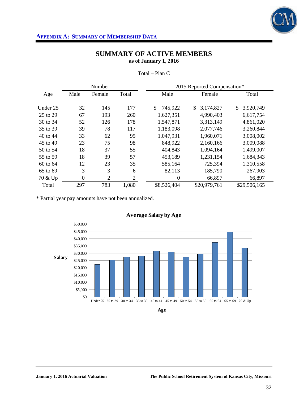

## **SUMMARY OF ACTIVE MEMBERS as of January 1, 2016**

|          | Number           |                |                | 2015 Reported Compensation* |                 |                 |
|----------|------------------|----------------|----------------|-----------------------------|-----------------|-----------------|
| Age      | Male             | Female         | Total          | Male                        | Female          | Total           |
| Under 25 | 32               | 145            | 177            | 745,922<br><sup>\$</sup>    | 3,174,827<br>\$ | 3,920,749<br>\$ |
| 25 to 29 | 67               | 193            | 260            | 1,627,351                   | 4,990,403       | 6,617,754       |
| 30 to 34 | 52               | 126            | 178            | 1,547,871                   | 3,313,149       | 4,861,020       |
| 35 to 39 | 39               | 78             | 117            | 1,183,098                   | 2,077,746       | 3,260,844       |
| 40 to 44 | 33               | 62             | 95             | 1,047,931                   | 1,960,071       | 3,008,002       |
| 45 to 49 | 23               | 75             | 98             | 848,922                     | 2,160,166       | 3,009,088       |
| 50 to 54 | 18               | 37             | 55             | 404,843                     | 1,094,164       | 1,499,007       |
| 55 to 59 | 18               | 39             | 57             | 453,189                     | 1,231,154       | 1,684,343       |
| 60 to 64 | 12               | 23             | 35             | 585,164                     | 725,394         | 1,310,558       |
| 65 to 69 | 3                | 3              | 6              | 82,113                      | 185,790         | 267,903         |
| 70 & Up  | $\boldsymbol{0}$ | $\overline{2}$ | $\overline{2}$ | $\overline{0}$              | 66,897          | 66,897          |
| Total    | 297              | 783            | 1,080          | \$8,526,404                 | \$20,979,761    | \$29,506,165    |

Total – Plan C

\* Partial year pay amounts have not been annualized.



**Average Salary by Age**

**Age**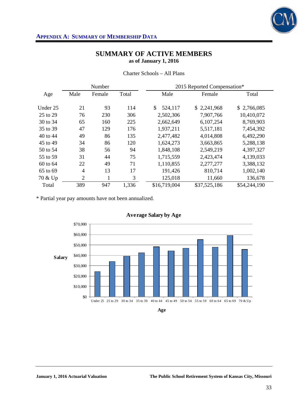

|          |                | Number |       | 2015 Reported Compensation* |              |              |  |  |
|----------|----------------|--------|-------|-----------------------------|--------------|--------------|--|--|
| Age      | Male           | Female | Total | Male                        | Female       | Total        |  |  |
| Under 25 | 21             | 93     | 114   | \$<br>524,117               | \$2,241,968  | \$2,766,085  |  |  |
| 25 to 29 | 76             | 230    | 306   | 2,502,306                   | 7,907,766    | 10,410,072   |  |  |
| 30 to 34 | 65             | 160    | 225   | 2,662,649                   | 6,107,254    | 8,769,903    |  |  |
| 35 to 39 | 47             | 129    | 176   | 1,937,211                   | 5,517,181    | 7,454,392    |  |  |
| 40 to 44 | 49             | 86     | 135   | 2,477,482                   | 4,014,808    | 6,492,290    |  |  |
| 45 to 49 | 34             | 86     | 120   | 1,624,273                   | 3,663,865    | 5,288,138    |  |  |
| 50 to 54 | 38             | 56     | 94    | 1,848,108                   | 2,549,219    | 4,397,327    |  |  |
| 55 to 59 | 31             | 44     | 75    | 1,715,559                   | 2,423,474    | 4,139,033    |  |  |
| 60 to 64 | 22             | 49     | 71    | 1,110,855                   | 2,277,277    | 3,388,132    |  |  |
| 65 to 69 | $\overline{4}$ | 13     | 17    | 191,426                     | 810,714      | 1,002,140    |  |  |
| 70 & Up  | $\overline{2}$ | 1      | 3     | 125,018                     | 11,660       | 136,678      |  |  |
| Total    | 389            | 947    | 1,336 | \$16,719,004                | \$37,525,186 | \$54,244,190 |  |  |

Charter Schools – All Plans

\* Partial year pay amounts have not been annualized.



**Age**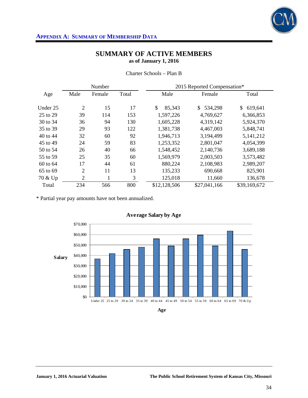

|          |                | Number |       | 2015 Reported Compensation* |               |               |  |  |
|----------|----------------|--------|-------|-----------------------------|---------------|---------------|--|--|
| Age      | Male           | Female | Total | Male                        | Female        | Total         |  |  |
| Under 25 | 2              | 15     | 17    | \$<br>85,343                | 534,298<br>\$ | \$<br>619,641 |  |  |
| 25 to 29 | 39             | 114    | 153   | 1,597,226                   | 4,769,627     | 6,366,853     |  |  |
| 30 to 34 | 36             | 94     | 130   | 1,605,228                   | 4,319,142     | 5,924,370     |  |  |
| 35 to 39 | 29             | 93     | 122   | 1,381,738                   | 4,467,003     | 5,848,741     |  |  |
| 40 to 44 | 32             | 60     | 92    | 1,946,713                   | 3,194,499     | 5,141,212     |  |  |
| 45 to 49 | 24             | 59     | 83    | 1,253,352                   | 2,801,047     | 4,054,399     |  |  |
| 50 to 54 | 26             | 40     | 66    | 1,548,452                   | 2,140,736     | 3,689,188     |  |  |
| 55 to 59 | 25             | 35     | 60    | 1,569,979                   | 2,003,503     | 3,573,482     |  |  |
| 60 to 64 | 17             | 44     | 61    | 880,224                     | 2,108,983     | 2,989,207     |  |  |
| 65 to 69 | $\overline{2}$ | 11     | 13    | 135,233                     | 690,668       | 825,901       |  |  |
| 70 & Up  | $\overline{2}$ | 1      | 3     | 125,018                     | 11,660        | 136,678       |  |  |
| Total    | 234            | 566    | 800   | \$12,128,506                | \$27,041,166  | \$39,169,672  |  |  |

Charter Schools – Plan B

\* Partial year pay amounts have not been annualized.



**Age**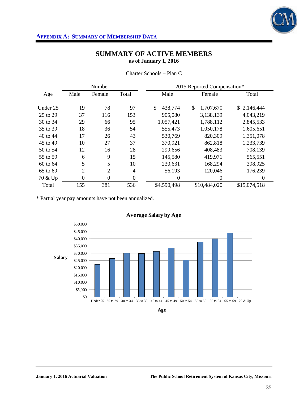

|          |                | Number         |                | 2015 Reported Compensation* |                  |              |  |  |  |
|----------|----------------|----------------|----------------|-----------------------------|------------------|--------------|--|--|--|
| Age      | Male           | Female         | Total          | Male                        | Female           | Total        |  |  |  |
| Under 25 | 19             | 78             | 97             | \$<br>438,774               | 1,707,670<br>\$. | \$2,146,444  |  |  |  |
| 25 to 29 | 37             | 116            | 153            | 905,080                     | 3,138,139        | 4,043,219    |  |  |  |
| 30 to 34 | 29             | 66             | 95             | 1,057,421                   | 1,788,112        | 2,845,533    |  |  |  |
| 35 to 39 | 18             | 36             | 54             | 555,473                     | 1,050,178        | 1,605,651    |  |  |  |
| 40 to 44 | 17             | 26             | 43             | 530,769                     | 820,309          | 1,351,078    |  |  |  |
| 45 to 49 | 10             | 27             | 37             | 370,921                     | 862,818          | 1,233,739    |  |  |  |
| 50 to 54 | 12             | 16             | 28             | 299,656                     | 408,483          | 708,139      |  |  |  |
| 55 to 59 | 6              | 9              | 15             | 145,580                     | 419,971          | 565,551      |  |  |  |
| 60 to 64 | 5              | 5              | 10             | 230,631                     | 168,294          | 398,925      |  |  |  |
| 65 to 69 | $\overline{2}$ | $\overline{2}$ | 4              | 56,193                      | 120,046          | 176,239      |  |  |  |
| 70 & Up  | $\overline{0}$ | $\mathbf{0}$   | $\overline{0}$ | $\theta$                    | 0                | $\Omega$     |  |  |  |
| Total    | 155            | 381            | 536            | \$4,590,498                 | \$10,484,020     | \$15,074,518 |  |  |  |

Charter Schools – Plan C

\* Partial year pay amounts have not been annualized.



**Age**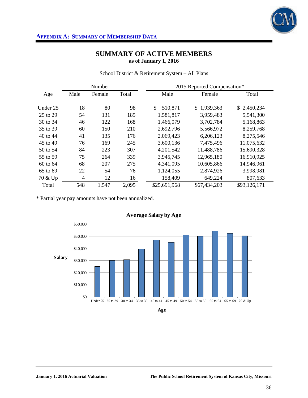

|          |                | Number |       | 2015 Reported Compensation* |              |              |  |  |
|----------|----------------|--------|-------|-----------------------------|--------------|--------------|--|--|
| Age      | Male           | Female | Total | Male                        | Female       | Total        |  |  |
| Under 25 | 18             | 80     | 98    | 510,871<br>\$.              | \$1,939,363  | \$2,450,234  |  |  |
| 25 to 29 | 54             | 131    | 185   | 1,581,817                   | 3,959,483    | 5,541,300    |  |  |
| 30 to 34 | 46             | 122    | 168   | 1,466,079                   | 3,702,784    | 5,168,863    |  |  |
| 35 to 39 | 60             | 150    | 210   | 2,692,796                   | 5,566,972    | 8,259,768    |  |  |
| 40 to 44 | 41             | 135    | 176   | 2,069,423                   | 6,206,123    | 8,275,546    |  |  |
| 45 to 49 | 76             | 169    | 245   | 3,600,136                   | 7,475,496    | 11,075,632   |  |  |
| 50 to 54 | 84             | 223    | 307   | 4,201,542                   | 11,488,786   | 15,690,328   |  |  |
| 55 to 59 | 75             | 264    | 339   | 3,945,745                   | 12,965,180   | 16,910,925   |  |  |
| 60 to 64 | 68             | 207    | 275   | 4,341,095                   | 10,605,866   | 14,946,961   |  |  |
| 65 to 69 | 22             | 54     | 76    | 1,124,055                   | 2,874,926    | 3,998,981    |  |  |
| 70 & Up  | $\overline{4}$ | 12     | 16    | 158,409                     | 649,224      | 807,633      |  |  |
| Total    | 548            | 1,547  | 2,095 | \$25,691,968                | \$67,434,203 | \$93,126,171 |  |  |

School District & Retirement System – All Plans

\* Partial year pay amounts have not been annualized.

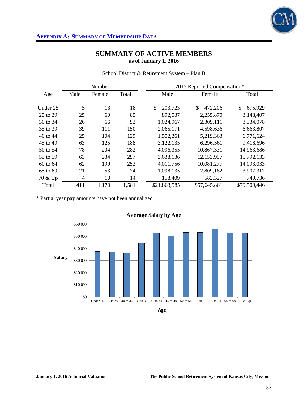

|          |                | Number |       | 2015 Reported Compensation* |               |               |  |  |
|----------|----------------|--------|-------|-----------------------------|---------------|---------------|--|--|
| Age      | Male           | Female | Total | Male                        | Female        | Total         |  |  |
| Under 25 | 5              | 13     | 18    | 203,723<br>\$               | \$<br>472,206 | \$<br>675,929 |  |  |
| 25 to 29 | 25             | 60     | 85    | 892,537                     | 2,255,870     | 3,148,407     |  |  |
| 30 to 34 | 26             | 66     | 92    | 1,024,967                   | 2,309,111     | 3,334,078     |  |  |
| 35 to 39 | 39             | 111    | 150   | 2,065,171                   | 4,598,636     | 6,663,807     |  |  |
| 40 to 44 | 25             | 104    | 129   | 1,552,261                   | 5,219,363     | 6,771,624     |  |  |
| 45 to 49 | 63             | 125    | 188   | 3,122,135                   | 6,296,561     | 9,418,696     |  |  |
| 50 to 54 | 78             | 204    | 282   | 4,096,355                   | 10,867,331    | 14,963,686    |  |  |
| 55 to 59 | 63             | 234    | 297   | 3,638,136                   | 12,153,997    | 15,792,133    |  |  |
| 60 to 64 | 62             | 190    | 252   | 4,011,756                   | 10,081,277    | 14,093,033    |  |  |
| 65 to 69 | 21             | 53     | 74    | 1,098,135                   | 2,809,182     | 3,907,317     |  |  |
| 70 & Up  | $\overline{4}$ | 10     | 14    | 158,409                     | 582,327       | 740,736       |  |  |
| Total    | 411            | 1,170  | 1,581 | \$21,863,585                | \$57,645,861  | \$79,509,446  |  |  |

School District & Retirement System – Plan B

\* Partial year pay amounts have not been annualized.



**Age**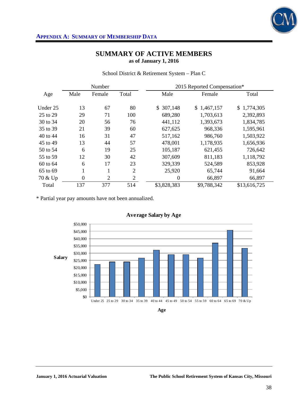

|          |              | Number         |                | 2015 Reported Compensation* |             |              |  |  |
|----------|--------------|----------------|----------------|-----------------------------|-------------|--------------|--|--|
| Age      | Male         | Female         | Total          | Male                        | Female      | Total        |  |  |
|          |              |                |                |                             |             |              |  |  |
| Under 25 | 13           | 67             | 80             | \$307,148                   | \$1,467,157 | \$1,774,305  |  |  |
| 25 to 29 | 29           | 71             | 100            | 689,280                     | 1,703,613   | 2,392,893    |  |  |
| 30 to 34 | 20           | 56             | 76             | 441,112                     | 1,393,673   | 1,834,785    |  |  |
| 35 to 39 | 21           | 39             | 60             | 627,625                     | 968,336     | 1,595,961    |  |  |
| 40 to 44 | 16           | 31             | 47             | 517,162                     | 986,760     | 1,503,922    |  |  |
| 45 to 49 | 13           | 44             | 57             | 478,001                     | 1,178,935   | 1,656,936    |  |  |
| 50 to 54 | 6            | 19             | 25             | 105,187                     | 621,455     | 726,642      |  |  |
| 55 to 59 | 12           | 30             | 42             | 307,609                     | 811,183     | 1,118,792    |  |  |
| 60 to 64 | 6            | 17             | 23             | 329,339                     | 524,589     | 853,928      |  |  |
| 65 to 69 | $\mathbf{1}$ | 1              | 2              | 25,920                      | 65,744      | 91,664       |  |  |
| 70 & Up  | $\mathbf{0}$ | $\overline{2}$ | $\overline{2}$ | $\boldsymbol{0}$            | 66,897      | 66,897       |  |  |
| Total    | 137          | 377            | 514            | \$3,828,383                 | \$9,788,342 | \$13,616,725 |  |  |

School District & Retirement System – Plan C

\* Partial year pay amounts have not been annualized.



**Age**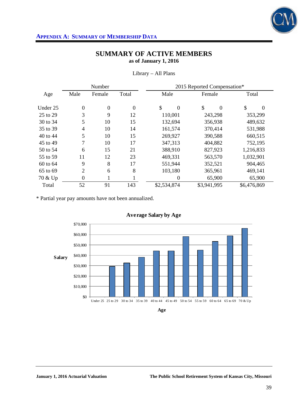

|          |                          | Number         |                | 2015 Reported Compensation* |                |                |  |  |  |
|----------|--------------------------|----------------|----------------|-----------------------------|----------------|----------------|--|--|--|
| Age      | Male                     | Female         | Total          | Male                        | Female         | Total          |  |  |  |
| Under 25 | 0                        | $\overline{0}$ | $\overline{0}$ | \$<br>$\boldsymbol{0}$      | \$<br>$\Omega$ | \$<br>$\theta$ |  |  |  |
| 25 to 29 | 3                        | 9              | 12             | 110,001                     | 243,298        | 353,299        |  |  |  |
| 30 to 34 | 5                        | 10             | 15             | 132,694                     | 356,938        | 489,632        |  |  |  |
| 35 to 39 | $\overline{\mathcal{L}}$ | 10             | 14             | 161,574                     | 370,414        | 531,988        |  |  |  |
| 40 to 44 | 5                        | 10             | 15             | 269,927                     | 390,588        | 660,515        |  |  |  |
| 45 to 49 | 7                        | 10             | 17             | 347,313                     | 404,882        | 752,195        |  |  |  |
| 50 to 54 | 6                        | 15             | 21             | 388,910                     | 827,923        | 1,216,833      |  |  |  |
| 55 to 59 | 11                       | 12             | 23             | 469,331                     | 563,570        | 1,032,901      |  |  |  |
| 60 to 64 | 9                        | 8              | 17             | 551,944                     | 352,521        | 904,465        |  |  |  |
| 65 to 69 | $\overline{2}$           | 6              | 8              | 103,180                     | 365,961        | 469,141        |  |  |  |
| 70 & Up  | $\boldsymbol{0}$         |                |                | 0                           | 65,900         | 65,900         |  |  |  |
| Total    | 52                       | 91             | 143            | \$2,534,874                 | \$3,941,995    | \$6,476,869    |  |  |  |

Library – All Plans

\* Partial year pay amounts have not been annualized.



**Age**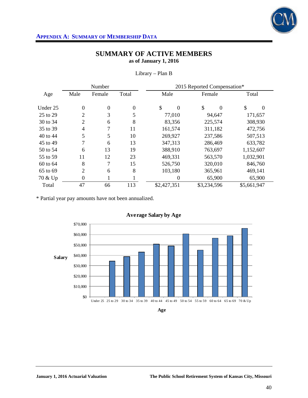

|          |                  | Number         |          | 2015 Reported Compensation* |                |                |  |  |  |
|----------|------------------|----------------|----------|-----------------------------|----------------|----------------|--|--|--|
| Age      | Male             | Female         | Total    | Male                        | Female         | Total          |  |  |  |
| Under 25 | $\boldsymbol{0}$ | $\overline{0}$ | $\theta$ | \$<br>$\Omega$              | \$<br>$\Omega$ | \$<br>$\Omega$ |  |  |  |
| 25 to 29 | $\overline{2}$   | 3              | 5        | 77,010                      | 94,647         | 171,657        |  |  |  |
| 30 to 34 | $\overline{2}$   | 6              | 8        | 83,356                      | 225,574        | 308,930        |  |  |  |
| 35 to 39 | 4                | 7              | 11       | 161,574                     | 311,182        | 472,756        |  |  |  |
| 40 to 44 | 5                | 5              | 10       | 269,927                     | 237,586        | 507,513        |  |  |  |
| 45 to 49 | 7                | 6              | 13       | 347,313                     | 286,469        | 633,782        |  |  |  |
| 50 to 54 | 6                | 13             | 19       | 388,910                     | 763,697        | 1,152,607      |  |  |  |
| 55 to 59 | 11               | 12             | 23       | 469,331                     | 563,570        | 1,032,901      |  |  |  |
| 60 to 64 | 8                | 7              | 15       | 526,750                     | 320,010        | 846,760        |  |  |  |
| 65 to 69 | $\overline{2}$   | 6              | 8        | 103,180                     | 365,961        | 469,141        |  |  |  |
| 70 & Up  | $\boldsymbol{0}$ |                |          | $\boldsymbol{0}$            | 65,900         | 65,900         |  |  |  |
| Total    | 47               | 66             | 113      | \$2,427,351                 | \$3,234,596    | \$5,661,947    |  |  |  |

Library – Plan B

\* Partial year pay amounts have not been annualized.



**Age**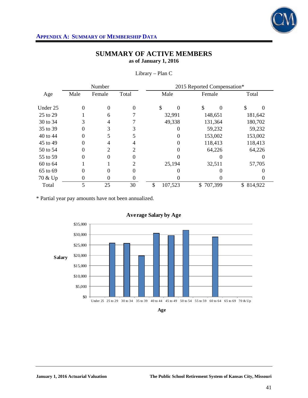

|          |      | Number |       | 2015 Reported Compensation* |               |           |  |  |  |
|----------|------|--------|-------|-----------------------------|---------------|-----------|--|--|--|
| Age      | Male | Female | Total | Male                        | Female        | Total     |  |  |  |
| Under 25 | 0    | 0      |       | \$                          | \$<br>0       | \$        |  |  |  |
| 25 to 29 |      | 6      |       | 32,991                      | 148,651       | 181,642   |  |  |  |
| 30 to 34 |      | 4      |       | 49,338                      | 131,364       | 180,702   |  |  |  |
| 35 to 39 |      | 3      |       |                             | 59,232        | 59,232    |  |  |  |
| 40 to 44 |      |        |       |                             | 153,002       | 153,002   |  |  |  |
| 45 to 49 | 0    | 4      |       |                             | 118,413       | 118,413   |  |  |  |
| 50 to 54 |      | 2      | 2     |                             | 64,226        | 64,226    |  |  |  |
| 55 to 59 | 0    | 0      |       |                             |               |           |  |  |  |
| 60 to 64 |      |        |       | 25,194                      | 32,511        | 57,705    |  |  |  |
| 65 to 69 | 0    | 0      |       |                             |               |           |  |  |  |
| 70 & Up  | 0    | 0      |       |                             |               |           |  |  |  |
| Total    |      | 25     | 30    | \$<br>107,523               | 707,399<br>\$ | \$814,922 |  |  |  |

Library – Plan C

\* Partial year pay amounts have not been annualized.

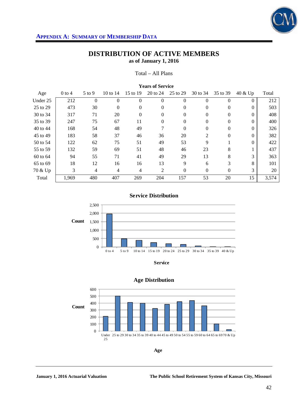

## **DISTRIBUTION OF ACTIVE MEMBERS as of January 1, 2016**

Total – All Plans

| <b>Teals of Delvice</b> |          |            |                |          |          |              |                |          |          |       |
|-------------------------|----------|------------|----------------|----------|----------|--------------|----------------|----------|----------|-------|
| Age                     | $0$ to 4 | $5$ to $9$ | 10 to $14$     | 15 to 19 | 20 to 24 | 25 to 29     | 30 to 34       | 35 to 39 | 40 & Up  | Total |
| Under 25                | 212      | $\Omega$   | $\Omega$       | $\Omega$ | $\Omega$ | $\Omega$     | $\Omega$       | $\Omega$ | $\Omega$ | 212   |
| 25 to 29                | 473      | 30         | $\Omega$       | $\Omega$ | $\Omega$ | $\mathbf{0}$ | $\Omega$       | $\Omega$ | $\Omega$ | 503   |
| 30 to 34                | 317      | 71         | 20             | $\theta$ | $\theta$ | $\mathbf{0}$ | $\Omega$       | $\Omega$ | $\Omega$ | 408   |
| 35 to 39                | 247      | 75         | 67             | 11       | $\theta$ | 0            | $\Omega$       | $\Omega$ | $\Omega$ | 400   |
| 40 to 44                | 168      | 54         | 48             | 49       | 7        | $\mathbf{0}$ | $\Omega$       | $\Omega$ | $\Omega$ | 326   |
| 45 to 49                | 183      | 58         | 37             | 46       | 36       | 20           | $\mathfrak{D}$ | $\Omega$ | $\Omega$ | 382   |
| 50 to 54                | 122      | 62         | 75             | 51       | 49       | 53           | 9              |          | $\Omega$ | 422   |
| 55 to 59                | 132      | 59         | 69             | 51       | 48       | 46           | 23             | 8        |          | 437   |
| 60 to 64                | 94       | 55         | 71             | 41       | 49       | 29           | 13             | 8        | 3        | 363   |
| 65 to 69                | 18       | 12         | 16             | 16       | 13       | 9            | 6              | 3        | 8        | 101   |
| 70 & Up                 | 3        | 4          | $\overline{4}$ | 4        | 2        | $\mathbf{0}$ | $\Omega$       | $\Omega$ | 3        | 20    |
| Total                   | 1.969    | 480        | 407            | 269      | 204      | 157          | 53             | 20       | 15       | 3,574 |

### **Years of Service**





**Service**



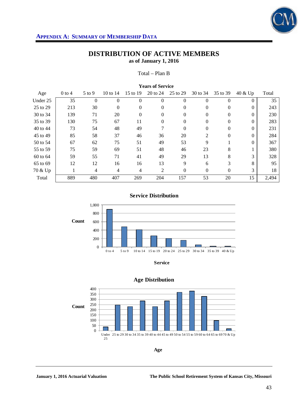

## **DISTRIBUTION OF ACTIVE MEMBERS as of January 1, 2016**

Total – Plan B

|          | 1 cals of Selvice |            |                |                |          |          |                |          |          |       |  |
|----------|-------------------|------------|----------------|----------------|----------|----------|----------------|----------|----------|-------|--|
| Age      | $0$ to 4          | $5$ to $9$ | 10 to $14$     | 15 to 19       | 20 to 24 | 25 to 29 | 30 to 34       | 35 to 39 | 40 & Up  | Total |  |
| Under 25 | 35                | $\Omega$   | $\Omega$       | $\Omega$       | $\Omega$ | $\theta$ |                | $\Omega$ | $\Omega$ | 35    |  |
| 25 to 29 | 213               | 30         | $\Omega$       | $\Omega$       | 0        | 0        | $\Omega$       | $\Omega$ | $\Omega$ | 243   |  |
| 30 to 34 | 139               | 71         | 20             | $\theta$       | $\Omega$ | 0        | $\Omega$       | $\Omega$ | $\Omega$ | 230   |  |
| 35 to 39 | 130               | 75         | 67             | 11             | $\theta$ | 0        | $\theta$       | $\Omega$ | $\Omega$ | 283   |  |
| 40 to 44 | 73                | 54         | 48             | 49             | 7        | $\theta$ | 0              | $\Omega$ | $\Omega$ | 231   |  |
| 45 to 49 | 85                | 58         | 37             | 46             | 36       | 20       | $\mathfrak{D}$ | $\Omega$ | $\Omega$ | 284   |  |
| 50 to 54 | 67                | 62         | 75             | 51             | 49       | 53       | 9              |          | $\Omega$ | 367   |  |
| 55 to 59 | 75                | 59         | 69             | 51             | 48       | 46       | 23             | 8        |          | 380   |  |
| 60 to 64 | 59                | 55         | 71             | 41             | 49       | 29       | 13             | 8        | 3        | 328   |  |
| 65 to 69 | 12                | 12         | 16             | 16             | 13       | 9        | 6              | 3        | 8        | 95    |  |
| 70 & Up  |                   | 4          | $\overline{4}$ | $\overline{4}$ | 2        | $\theta$ | $\Omega$       | $\Omega$ | 3        | 18    |  |
| Total    | 889               | 480        | 407            | 269            | 204      | 157      | 53             | 20       | 15       | 2,494 |  |

## **Years of Service**

**Service Distribution**



**Service**



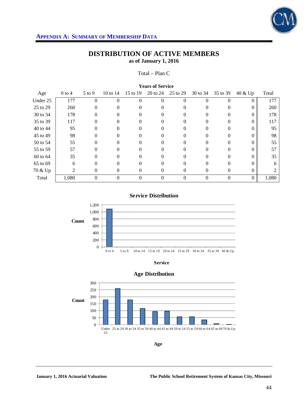

## **DISTRIBUTION OF ACTIVE MEMBERS as of January 1, 2016**

Total – Plan C

| $0$ to $4$ | $5$ to $9$ | 10 to 14 | 15 to 19 | 20 to 24 | 25 to 29 | 30 to 34                | 35 to 39 | 40 & Up  | Total |  |
|------------|------------|----------|----------|----------|----------|-------------------------|----------|----------|-------|--|
| 177        |            |          | $\Omega$ | $\Omega$ | 0        |                         |          | 0        | 177   |  |
| 260        | 0          |          | $\Omega$ | 0        |          |                         |          | $\Omega$ | 260   |  |
| 178        | 0          |          | $\theta$ | $\theta$ | 0        |                         | $\Omega$ | 0        | 178   |  |
| 117        |            |          |          | $\Omega$ |          |                         |          |          | 117   |  |
| 95         |            |          |          | 0        |          |                         |          |          | 95    |  |
| 98         | 0          |          | $\theta$ | 0        | $\Omega$ |                         |          | $\Omega$ | 98    |  |
| 55         | 0          |          | $^{(1)}$ | $\theta$ | 0        |                         |          |          | 55    |  |
| 57         |            |          |          | $\Omega$ |          |                         |          |          | 57    |  |
| 35         |            |          |          | $\Omega$ |          |                         |          |          | 35    |  |
| 6          | 0          |          | 0        | $\Omega$ | $\Omega$ |                         |          |          | 6     |  |
| 2          | 0          | $\Omega$ | 0        | $\Omega$ | 0        | $\Omega$                | 0        | $\Omega$ |       |  |
| 1,080      | $\Omega$   | $\Omega$ | $\Omega$ | $\Omega$ | 0        | $\Omega$                | 0        | $\Omega$ | 1,080 |  |
|            |            |          |          |          |          | <b>Teals of Selvice</b> |          |          |       |  |

### **Years of Service**

**Service Distribution**



**Service**





**Age**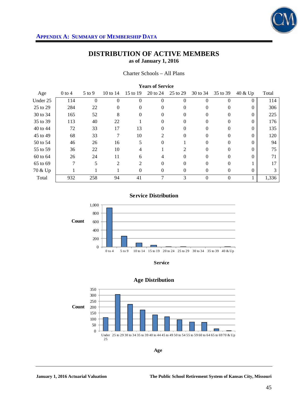

Charter Schools – All Plans

| Teals of Selvice |            |          |               |                |          |          |          |          |       |  |
|------------------|------------|----------|---------------|----------------|----------|----------|----------|----------|-------|--|
| $0$ to 4         | $5$ to $9$ | 10 to 14 | 15 to 19      | 20 to 24       | 25 to 29 | 30 to 34 | 35 to 39 | 40 & Up  | Total |  |
| 114              | $\Omega$   | 0        | $\Omega$      | 0              | 0        |          | $\Omega$ | $\Omega$ | 114   |  |
| 284              | 22         | 0        | 0             | $\theta$       | $\Omega$ | $\theta$ | 0        | $\Omega$ | 306   |  |
| 165              | 52         | 8        | $\theta$      | $\theta$       |          |          | $\theta$ | 0        | 225   |  |
| 113              | 40         | 22       |               | 0              | $\Omega$ |          | 0        | 0        | 176   |  |
| 72               | 33         | 17       | 13            | 0              | 0        |          | 0        | $\Omega$ | 135   |  |
| 68               | 33         | 7        | 10            | $\mathfrak{D}$ | 0        | $\theta$ | $\Omega$ | $\Omega$ | 120   |  |
| 46               | 26         | 16       | 5             | $\theta$       |          |          | 0        | 0        | 94    |  |
| 36               | 22         | 10       | 4             |                |          |          | 0        | 0        | 75    |  |
| 26               | 24         | 11       | 6             | 4              | 0        |          | 0        |          | 71    |  |
| 7                | 5          | 2        | $\mathcal{L}$ | 0              | 0        | 0        | $\Omega$ |          | 17    |  |
|                  |            |          | $\Omega$      | $\Omega$       | 0        | $\theta$ | $\Omega$ | $\Omega$ | 3     |  |
| 932              | 258        | 94       | 41            |                | 3        | $\Omega$ | $\Omega$ |          | 1,336 |  |
|                  |            |          |               |                |          |          |          |          |       |  |

#### **Years of Service**

**Service Distribution**



**Service**





**Age**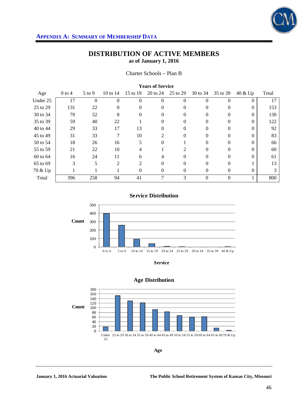

## **DISTRIBUTION OF ACTIVE MEMBERS as of January 1, 2016**

Charter Schools – Plan B

| Tears of Service |          |            |          |          |          |          |          |          |          |       |
|------------------|----------|------------|----------|----------|----------|----------|----------|----------|----------|-------|
| Age              | $0$ to 4 | $5$ to $9$ | 10 to 14 | 15 to 19 | 20 to 24 | 25 to 29 | 30 to 34 | 35 to 39 | 40 & Up  | Total |
| Under 25         | 17       | $\Omega$   | $\Omega$ | $\Omega$ | 0        | 0        | $\Omega$ | $\Omega$ | $\Omega$ | 17    |
| 25 to 29         | 131      | 22         | $\theta$ | $\theta$ | $\theta$ | $\Omega$ | $\Omega$ | 0        | 0        | 153   |
| 30 to 34         | 70       | 52         | 8        |          | $\theta$ | 0        |          | $^{(1)}$ | 0        | 130   |
| 35 to 39         | 59       | 40         | 22       |          | 0        | 0        |          | $\Omega$ | 0        | 122   |
| 40 to 44         | 29       | 33         | 17       | 13       | 0        | 0        |          | $\Omega$ | $\Omega$ | 92    |
| 45 to 49         | 31       | 33         | 7        | 10       | 2        | 0        | $\Omega$ | $\Omega$ | $\Omega$ | 83    |
| 50 to 54         | 18       | 26         | 16       | 5        | $\Omega$ |          |          | 0        | 0        | 66    |
| 55 to 59         | 21       | 22         | 10       |          |          |          |          |          | $\Omega$ | 60    |
| 60 to 64         | 16       | 24         | 11       | 6        | 4        | 0        |          | $\Omega$ |          | 61    |
| 65 to 69         | 3        | 5          | 2        | 2        | 0        | 0        | $\Omega$ | $\Omega$ |          | 13    |
| 70 & Up          |          |            |          | $\theta$ | $\Omega$ | 0        | $\Omega$ | $\Omega$ | $\Omega$ |       |
| Total            | 396      | 258        | 94       | 41       |          | 3        |          | $\Omega$ |          | 800   |

#### **Years of Service**

**Service Distribution**







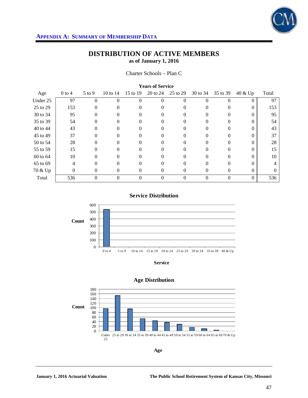

Charter Schools – Plan C

| Age      | $0$ to $4$ | $5$ to $9$ | 10 to 14 | 15 to 19 | 20 to 24          | 25 to 29          | 30 to 34 | 35 to 39 | 40 & Up  | Total |
|----------|------------|------------|----------|----------|-------------------|-------------------|----------|----------|----------|-------|
| Under 25 | 97         | 0          | 0        | 0        | $\Omega$          | $\mathbf{\Omega}$ |          | 0        | $\Omega$ | 97    |
| 25 to 29 | 153        | 0          |          |          | $\Omega$          |                   |          | 0        | 0        | 153   |
| 30 to 34 | 95         |            |          |          |                   |                   |          |          |          | 95    |
| 35 to 39 | 54         |            |          |          | 0                 |                   |          |          |          | 54    |
| 40 to 44 | 43         | 0          |          |          | $\Omega$          |                   |          | $\Omega$ | $\theta$ | 43    |
| 45 to 49 | 37         | 0          |          |          | $\Omega$          |                   |          | $^{(1)}$ |          | 37    |
| 50 to 54 | 28         |            |          |          |                   |                   |          |          |          | 28    |
| 55 to 59 | 15         |            |          |          |                   |                   |          |          |          | 15    |
| 60 to 64 | 10         | 0          |          |          | 0                 |                   |          | 0        |          | 10    |
| 65 to 69 | 4          | 0          | 0        | 0        | 0                 | $\Omega$          |          | 0        | 0        |       |
| 70 & Up  | $\theta$   | 0          | 0        | $\theta$ | $\Omega$          | $\Omega$          | $^{(1)}$ | $\Omega$ | $\Omega$ | 0     |
| Total    | 536        | 0          | 0        | 0        | $\mathbf{\Omega}$ | 0                 |          | $\Omega$ | $\Omega$ | 536   |

#### **Years of Service**

**Service Distribution**



**Service**





**Age**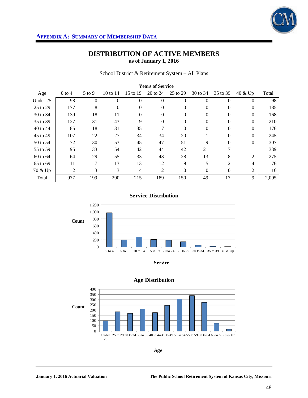

School District & Retirement System – All Plans

| <b>Years of Service</b> |                |          |            |          |              |              |          |                |                |       |  |
|-------------------------|----------------|----------|------------|----------|--------------|--------------|----------|----------------|----------------|-------|--|
| Age                     | $0$ to 4       | $5$ to 9 | 10 to $14$ | 15 to 19 | 20 to 24     | 25 to 29     | 30 to 34 | 35 to 39       | 40 & Up        | Total |  |
| Under 25                | 98             | $\theta$ | $\Omega$   | $\theta$ | $\theta$     | $\theta$     | $\Omega$ | $\theta$       | $\Omega$       | 98    |  |
| 25 to 29                | 177            | 8        | $\Omega$   | $\Omega$ | $\Omega$     | $\mathbf{0}$ | $\Omega$ | $\Omega$       | $\Omega$       | 185   |  |
| 30 to 34                | 139            | 18       | 11         | $\Omega$ | $\Omega$     | $\mathbf{0}$ | $\Omega$ | $\Omega$       | $\Omega$       | 168   |  |
| 35 to 39                | 127            | 31       | 43         | 9        | $\mathbf{0}$ | $\mathbf{0}$ | $\Omega$ | $\theta$       | $\Omega$       | 210   |  |
| 40 to 44                | 85             | 18       | 31         | 35       | 7            | $\Omega$     | $\Omega$ | $\Omega$       | $\Omega$       | 176   |  |
| 45 to 49                | 107            | 22       | 27         | 34       | 34           | 20           |          | $\Omega$       | $\Omega$       | 245   |  |
| 50 to 54                | 72             | 30       | 53         | 45       | 47           | 51           | 9        | $\theta$       | $\Omega$       | 307   |  |
| 55 to 59                | 95             | 33       | 54         | 42       | 44           | 42           | 21       | 7              |                | 339   |  |
| 60 to 64                | 64             | 29       | 55         | 33       | 43           | 28           | 13       | 8              | $\overline{2}$ | 275   |  |
| 65 to 69                | 11             | 7        | 13         | 13       | 12           | 9            | 5        | $\overline{2}$ | 4              | 76    |  |
| 70 & Up                 | $\overline{2}$ | 3        | 3          | 4        | 2            | $\mathbf{0}$ | $\Omega$ | $\mathbf{0}$   | $\overline{2}$ | 16    |  |
| Total                   | 977            | 199      | 290        | 215      | 189          | 150          | 49       | 17             | 9              | 2,095 |  |

**Service Distribution**



**Service**



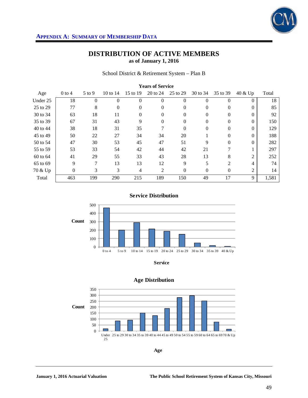

School District & Retirement System – Plan B

| <b>Years of Service</b> |          |          |            |          |                |              |          |                |                |       |  |
|-------------------------|----------|----------|------------|----------|----------------|--------------|----------|----------------|----------------|-------|--|
| Age                     | $0$ to 4 | $5$ to 9 | 10 to $14$ | 15 to 19 | 20 to 24       | 25 to 29     | 30 to 34 | 35 to 39       | 40 & Up        | Total |  |
| Under 25                | 18       | 0        | $\Omega$   | $\theta$ | $\theta$       | $\theta$     | $\Omega$ | $\theta$       | $\Omega$       | 18    |  |
| 25 to 29                | 77       | 8        | $\Omega$   | $\Omega$ | $\Omega$       | $\mathbf{0}$ | $\Omega$ | $\Omega$       | $\Omega$       | 85    |  |
| 30 to 34                | 63       | 18       | 11         | $\Omega$ | $\Omega$       | $\mathbf{0}$ | $\Omega$ | $\Omega$       | $\Omega$       | 92    |  |
| 35 to 39                | 67       | 31       | 43         | 9        | $\mathbf{0}$   | $\mathbf{0}$ | $\Omega$ | 0              | $\Omega$       | 150   |  |
| 40 to 44                | 38       | 18       | 31         | 35       | 7              | $\Omega$     | $\Omega$ | $\Omega$       | $\Omega$       | 129   |  |
| 45 to 49                | 50       | 22       | 27         | 34       | 34             | 20           |          | $\Omega$       | $\Omega$       | 188   |  |
| 50 to 54                | 47       | 30       | 53         | 45       | 47             | 51           | 9        | $\Omega$       | $\Omega$       | 282   |  |
| 55 to 59                | 53       | 33       | 54         | 42       | 44             | 42           | 21       | 7              |                | 297   |  |
| 60 to 64                | 41       | 29       | 55         | 33       | 43             | 28           | 13       | 8              | $\overline{c}$ | 252   |  |
| 65 to 69                | 9        | 7        | 13         | 13       | 12             | 9            | 5        | $\overline{2}$ | 4              | 74    |  |
| 70 & Up                 | $\theta$ | 3        | 3          | 4        | $\overline{2}$ | $\mathbf{0}$ | $\Omega$ | $\mathbf{0}$   | 2              | 14    |  |
| Total                   | 463      | 199      | 290        | 215      | 189            | 150          | 49       | 17             | 9              | 1,581 |  |

**Service Distribution**



**Service**



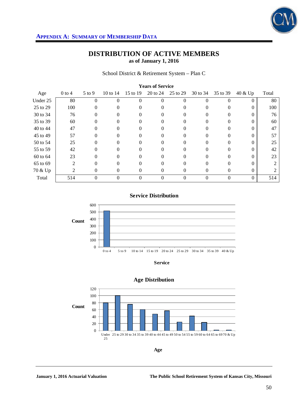

School District & Retirement System – Plan C

| <b>Teals of Selvice</b> |            |          |          |          |          |          |          |          |       |  |
|-------------------------|------------|----------|----------|----------|----------|----------|----------|----------|-------|--|
| $0$ to $4$              | $5$ to $9$ | 10 to 14 | 15 to 19 | 20 to 24 | 25 to 29 | 30 to 34 | 35 to 39 | 40 & Up  | Total |  |
| 80                      |            |          | $\Omega$ | $\Omega$ | 0        |          |          | 0        | 80    |  |
| 100                     | 0          |          | $^{(1)}$ | 0        |          |          |          | 0        | 100   |  |
| 76                      | $\theta$   |          | $\theta$ | $\theta$ | 0        |          | $\theta$ |          | 76    |  |
| 60                      |            |          |          | $\Omega$ |          |          |          |          | 60    |  |
| 47                      |            |          |          | 0        |          |          |          |          | 47    |  |
| 57                      | 0          |          | $\theta$ | 0        | $\Omega$ |          |          |          | 57    |  |
| 25                      | $\Omega$   |          | $\Omega$ | $\theta$ | 0        |          |          |          | 25    |  |
| 42                      |            |          |          | $\Omega$ |          |          |          |          | 42    |  |
| 23                      |            |          |          | $\Omega$ |          |          |          |          | 23    |  |
| $\mathfrak{D}$          | 0          |          | 0        | $\Omega$ | $\Omega$ |          |          |          |       |  |
| 2                       | 0          | $\Omega$ | 0        | $\Omega$ | 0        | $\Omega$ | 0        | $\Omega$ |       |  |
| 514                     | $\Omega$   | $\Omega$ | $\Omega$ | $\Omega$ | 0        | $\Omega$ | $\Omega$ | $\Omega$ | 514   |  |
|                         |            |          |          |          |          |          |          |          |       |  |

#### **Years of Service**

**Service Distribution**



**Service**



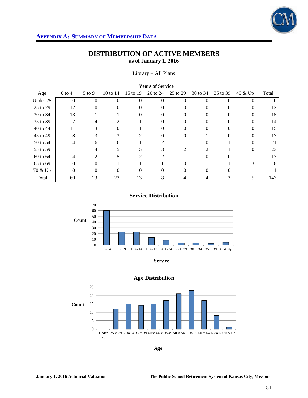

## **DISTRIBUTION OF ACTIVE MEMBERS as of January 1, 2016**

Library – All Plans

| <b>TVALD OF DUL TILE</b> |                   |            |          |               |          |          |          |          |          |          |
|--------------------------|-------------------|------------|----------|---------------|----------|----------|----------|----------|----------|----------|
| Age                      | $0$ to $4$        | $5$ to $9$ | 10 to 14 | 15 to 19      | 20 to 24 | 25 to 29 | 30 to 34 | 35 to 39 | 40 & Up  | Total    |
| Under 25                 | $\Omega$          | 0          | 0        | $\Omega$      | $\Omega$ | 0        |          | 0        | $\Omega$ | $\Omega$ |
| 25 to 29                 | 12                | $^{(1)}$   |          |               | $\Omega$ |          |          | $^{(1)}$ |          | 12       |
| 30 to 34                 | 13                |            |          |               | 0        |          |          |          |          | 15       |
| 35 to 39                 |                   |            |          |               |          |          |          |          |          | 14       |
| 40 to 44                 | 11                |            |          |               | 0        |          |          | $\Omega$ |          | 15       |
| 45 to 49                 | 8                 | 3          | 3        | $\mathcal{L}$ | 0        | $_{0}$   |          | 0        | 0        | 17       |
| 50 to 54                 |                   | 6          | 6        |               |          |          |          |          |          | 21       |
| 55 to 59                 |                   |            |          |               |          |          |          |          |          | 23       |
| 60 to 64                 |                   | C          |          | 2             |          |          |          |          |          | 17       |
| 65 to 69                 | $\mathbf{\Omega}$ | 0          |          |               |          |          |          |          |          | 8        |
| 70 & Up                  | 0                 | 0          | $^{(1)}$ | 0             | 0        | $_{0}$   | $^{(1)}$ | $\Omega$ |          |          |
| Total                    | 60                | 23         | 23       | 13            | 8        |          |          | 3        | 5        | 143      |

#### **Years of Service**

**Service Distribution**



**Service**



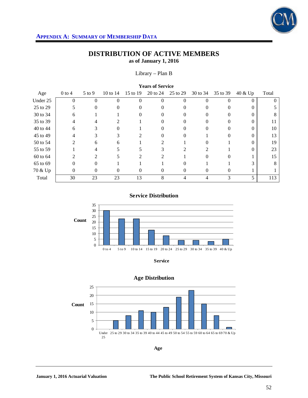

# **DISTRIBUTION OF ACTIVE MEMBERS as of January 1, 2016**

Library – Plan B

| <b>TUALS OF DUI VIUU</b> |            |            |          |          |              |          |          |          |          |          |
|--------------------------|------------|------------|----------|----------|--------------|----------|----------|----------|----------|----------|
| Age                      | $0$ to $4$ | $5$ to $9$ | 10 to 14 | 15 to 19 | 20 to 24     | 25 to 29 | 30 to 34 | 35 to 39 | 40 & Up  | Total    |
| Under 25                 | $\Omega$   | $\Omega$   | 0        | $\Omega$ | $\Omega$     | 0        | $\Omega$ | $\Omega$ | $\Omega$ | $\Omega$ |
| 25 to 29                 |            | $\theta$   |          |          | $\Omega$     |          |          | $\theta$ |          |          |
| 30 to 34                 | 6          |            |          |          | $\theta$     |          |          | 0        |          | 8        |
| 35 to 39                 | 4          |            |          |          |              |          |          |          |          | 11       |
| 40 to 44                 | 6          |            |          |          | $\mathbf{0}$ |          |          | 0        |          | 10       |
| 45 to 49                 | 4          |            |          |          | 0            |          |          | 0        |          | 13       |
| 50 to 54                 |            | 6          | h.       |          |              |          |          |          |          | 19       |
| 55 to 59                 |            |            |          |          |              |          |          |          |          | 23       |
| 60 to 64                 |            | ∍          |          |          |              |          |          |          |          | 15       |
| 65 to 69                 | $\Omega$   | 0          |          |          |              |          |          |          |          | 8        |
| 70 & Up                  | 0          | $\theta$   | $\Omega$ | $\theta$ | $\theta$     | 0        | $\theta$ | $\left($ |          |          |
| Total                    | 30         | 23         | 23       | 13       | 8            |          |          | 3        | 5        | 113      |

**Years of Service** 

#### **Service Distribution**



**Service**

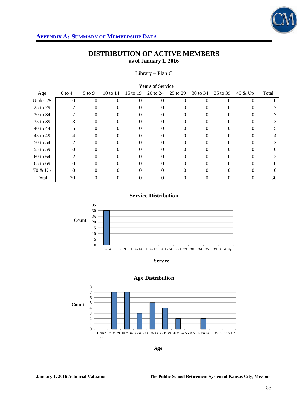

# **DISTRIBUTION OF ACTIVE MEMBERS as of January 1, 2016**

Library – Plan C

| <b>TEGIS OF DELVICE</b> |              |            |          |          |          |                   |          |          |          |                |
|-------------------------|--------------|------------|----------|----------|----------|-------------------|----------|----------|----------|----------------|
| Age                     | $0$ to $4$   | $5$ to $9$ | 10 to 14 | 15 to 19 | 20 to 24 | 25 to 29          | 30 to 34 | 35 to 39 | 40 & Up  | Total          |
| Under 25                | $\Omega$     | $\Omega$   | 0        | $\Omega$ | $\Omega$ | $\Omega$          |          | 0        | $\Omega$ | $\Omega$       |
| 25 to 29                |              | $\Omega$   |          |          | 0        |                   |          |          |          |                |
| 30 to 34                |              | $\theta$   |          |          | $\theta$ |                   |          |          |          |                |
| 35 to 39                |              |            |          |          |          |                   |          |          |          |                |
| 40 to 44                |              | 0          |          |          | 0        |                   |          |          |          |                |
| 45 to 49                | 4            | 0          | 0        |          | 0        |                   |          | 0        | 0        |                |
| 50 to 54                |              | $\theta$   |          |          | $\theta$ | 0                 |          |          |          | 2              |
| 55 to 59                |              |            |          |          |          | 0                 |          |          |          | $\overline{0}$ |
| 60 to 64                | っ            | 0          |          |          | $\Omega$ |                   |          |          |          |                |
| 65 to 69                | $\mathbf{0}$ | 0          | 0        | $\Omega$ | 0        | $\mathbf{\Omega}$ | 0        | 0        | 0        | $\left($       |
| 70 & Up                 | $\theta$     | 0          | 0        | $\theta$ | $\theta$ | 0                 | $\theta$ | $\theta$ | $\Omega$ | $\Omega$       |
| Total                   | 30           |            | 0        | 0        | 0        | 0                 |          | $\Omega$ | $\Omega$ | 30             |

**Years of Service** 

#### **Service Distribution**



**Service**



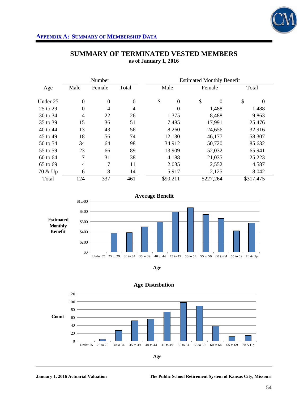

|          |                  | Number         |                | <b>Estimated Monthly Benefit</b> |                |    |           |    |           |
|----------|------------------|----------------|----------------|----------------------------------|----------------|----|-----------|----|-----------|
| Age      | Male             | Female         | Total          | Male                             |                |    | Female    |    | Total     |
| Under 25 | $\boldsymbol{0}$ | $\overline{0}$ | $\mathbf{0}$   | \$                               | $\overline{0}$ | \$ | $\Omega$  | \$ | 0         |
| 25 to 29 | $\overline{0}$   | 4              | $\overline{4}$ |                                  | $\overline{0}$ |    | 1,488     |    | 1,488     |
| 30 to 34 | 4                | 22             | 26             | 1,375                            |                |    | 8,488     |    | 9,863     |
| 35 to 39 | 15               | 36             | 51             | 7,485                            |                |    | 17,991    |    | 25,476    |
| 40 to 44 | 13               | 43             | 56             | 8,260                            |                |    | 24,656    |    | 32,916    |
| 45 to 49 | 18               | 56             | 74             | 12,130                           |                |    | 46,177    |    | 58,307    |
| 50 to 54 | 34               | 64             | 98             | 34,912                           |                |    | 50,720    |    | 85,632    |
| 55 to 59 | 23               | 66             | 89             | 13,909                           |                |    | 52,032    |    | 65,941    |
| 60 to 64 | 7                | 31             | 38             | 4,188                            |                |    | 21,035    |    | 25,223    |
| 65 to 69 | $\overline{4}$   | 7              | 11             | 2,035                            |                |    | 2,552     |    | 4,587     |
| 70 & Up  | 6                | 8              | 14             | 5,917                            |                |    | 2,125     |    | 8,042     |
| Total    | 124              | 337            | 461            | \$90,211                         |                |    | \$227,264 |    | \$317,475 |

## **SUMMARY OF TERMINATED VESTED MEMBERS as of January 1, 2016**







**Age Distribution**

**January 1, 2016 Actuarial Valuation The Public School Retirement System of Kansas City, Missouri**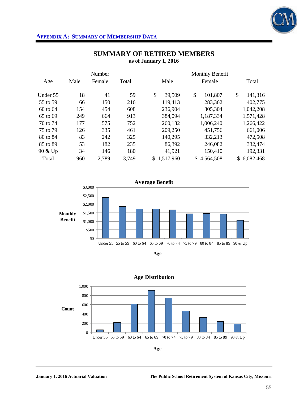

|          |      | Number |       | Monthly Benefit  |               |                 |  |  |  |
|----------|------|--------|-------|------------------|---------------|-----------------|--|--|--|
| Age      | Male | Female | Total | Male             | Female        | Total           |  |  |  |
| Under 55 | 18   | 41     | 59    | \$<br>39,509     | \$<br>101,807 | \$<br>141,316   |  |  |  |
| 55 to 59 | 66   | 150    | 216   | 119,413          | 283,362       | 402,775         |  |  |  |
| 60 to 64 | 154  | 454    | 608   | 236,904          | 805,304       | 1,042,208       |  |  |  |
| 65 to 69 | 249  | 664    | 913   | 384,094          | 1,187,334     | 1,571,428       |  |  |  |
| 70 to 74 | 177  | 575    | 752   | 260,182          | 1,006,240     | 1,266,422       |  |  |  |
| 75 to 79 | 126  | 335    | 461   | 209,250          | 451,756       | 661,006         |  |  |  |
| 80 to 84 | 83   | 242    | 325   | 140,295          | 332,213       | 472,508         |  |  |  |
| 85 to 89 | 53   | 182    | 235   | 86,392           | 246,082       | 332,474         |  |  |  |
| 90 & Up  | 34   | 146    | 180   | 41,921           | 150,410       | 192,331         |  |  |  |
| Total    | 960  | 2,789  | 3,749 | 1,517,960<br>\$. | \$4,564,508   | 6,082,468<br>\$ |  |  |  |

## **SUMMARY OF RETIRED MEMBERS as of January 1, 2016**







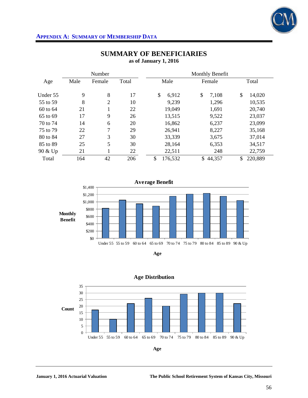

|          |      | Number            |       | Monthly Benefit |              |               |  |  |  |
|----------|------|-------------------|-------|-----------------|--------------|---------------|--|--|--|
| Age      | Male | Female            | Total | Male            | Female       | Total         |  |  |  |
| Under 55 | 9    | 8                 | 17    | \$<br>6,912     | \$<br>7,108  | \$<br>14,020  |  |  |  |
| 55 to 59 | 8    | $\overline{2}$    | 10    | 9,239           | 1,296        | 10,535        |  |  |  |
| 60 to 64 | 21   | $\mathbf{1}$<br>T | 22    | 19,049          | 1,691        | 20,740        |  |  |  |
| 65 to 69 | 17   | 9                 | 26    | 13,515          | 9,522        | 23,037        |  |  |  |
| 70 to 74 | 14   | 6                 | 20    | 16,862          | 6,237        | 23,099        |  |  |  |
| 75 to 79 | 22   | 7                 | 29    | 26,941          | 8,227        | 35,168        |  |  |  |
| 80 to 84 | 27   | 3                 | 30    | 33,339          | 3,675        | 37,014        |  |  |  |
| 85 to 89 | 25   | 5                 | 30    | 28,164          | 6,353        | 34,517        |  |  |  |
| 90 & Up  | 21   |                   | 22    | 22,511          | 248          | 22,759        |  |  |  |
| Total    | 164  | 42                | 206   | \$<br>176,532   | 44,357<br>\$ | 220,889<br>\$ |  |  |  |

## **SUMMARY OF BENEFICIARIES as of January 1, 2016**





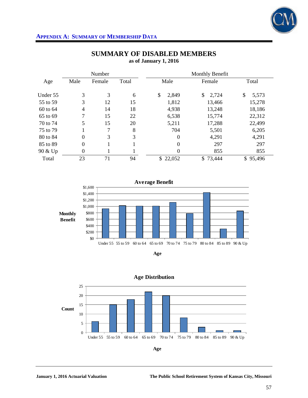

| Number   |                |        | Monthly Benefit |                  |             |             |
|----------|----------------|--------|-----------------|------------------|-------------|-------------|
| Age      | Male           | Female | Total           | Male             | Female      | Total       |
| Under 55 | 3              | 3      | 6               | \$<br>2,849      | 2,724<br>\$ | \$<br>5,573 |
| 55 to 59 | 3              | 12     | 15              | 1,812            | 13,466      | 15,278      |
| 60 to 64 | 4              | 14     | 18              | 4,938            | 13,248      | 18,186      |
| 65 to 69 | 7              | 15     | 22              | 6,538            | 15,774      | 22,312      |
| 70 to 74 | 5              | 15     | 20              | 5,211            | 17,288      | 22,499      |
| 75 to 79 |                | 7      | 8               | 704              | 5,501       | 6,205       |
| 80 to 84 | $\mathbf{0}$   | 3      | 3               | $\boldsymbol{0}$ | 4,291       | 4,291       |
| 85 to 89 | $\mathbf{0}$   |        |                 | $\theta$         | 297         | 297         |
| 90 & Up  | $\overline{0}$ |        |                 | $\theta$         | 855         | 855         |
| Total    | 23             | 71     | 94              | \$22,052         | \$73,444    | \$95,496    |

## **SUMMARY OF DISABLED MEMBERS as of January 1, 2016**







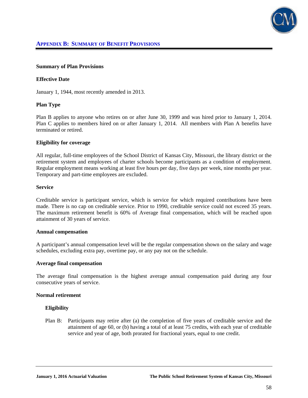

#### **Summary of Plan Provisions**

### **Effective Date**

January 1, 1944, most recently amended in 2013.

#### **Plan Type**

Plan B applies to anyone who retires on or after June 30, 1999 and was hired prior to January 1, 2014. Plan C applies to members hired on or after January 1, 2014. All members with Plan A benefits have terminated or retired.

#### **Eligibility for coverage**

All regular, full-time employees of the School District of Kansas City, Missouri, the library district or the retirement system and employees of charter schools become participants as a condition of employment. Regular employment means working at least five hours per day, five days per week, nine months per year. Temporary and part-time employees are excluded.

#### **Service**

Creditable service is participant service, which is service for which required contributions have been made. There is no cap on creditable service. Prior to 1990, creditable service could not exceed 35 years. The maximum retirement benefit is 60% of Average final compensation, which will be reached upon attainment of 30 years of service.

#### **Annual compensation**

A participant's annual compensation level will be the regular compensation shown on the salary and wage schedules, excluding extra pay, overtime pay, or any pay not on the schedule.

#### **Average final compensation**

The average final compensation is the highest average annual compensation paid during any four consecutive years of service.

#### **Normal retirement**

## **Eligibility**

Plan B: Participants may retire after (a) the completion of five years of creditable service and the attainment of age 60, or (b) having a total of at least 75 credits, with each year of creditable service and year of age, both prorated for fractional years, equal to one credit.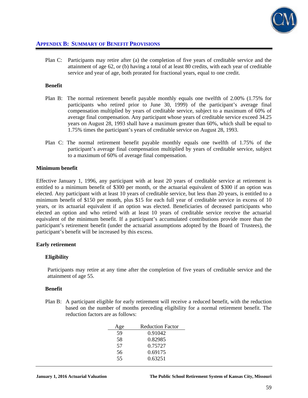

Plan C: Participants may retire after (a) the completion of five years of creditable service and the attainment of age 62, or (b) having a total of at least 80 credits, with each year of creditable service and year of age, both prorated for fractional years, equal to one credit.

#### **Benefit**

- Plan B: The normal retirement benefit payable monthly equals one twelfth of 2.00% (1.75% for participants who retired prior to June 30, 1999) of the participant's average final compensation multiplied by years of creditable service, subject to a maximum of 60% of average final compensation. Any participant whose years of creditable service exceed 34.25 years on August 28, 1993 shall have a maximum greater than 60%, which shall be equal to 1.75% times the participant's years of creditable service on August 28, 1993.
- Plan C: The normal retirement benefit payable monthly equals one twelfth of 1.75% of the participant's average final compensation multiplied by years of creditable service, subject to a maximum of 60% of average final compensation.

#### **Minimum benefit**

Effective January 1, 1996, any participant with at least 20 years of creditable service at retirement is entitled to a minimum benefit of \$300 per month, or the actuarial equivalent of \$300 if an option was elected. Any participant with at least 10 years of creditable service, but less than 20 years, is entitled to a minimum benefit of \$150 per month, plus \$15 for each full year of creditable service in excess of 10 years, or its actuarial equivalent if an option was elected. Beneficiaries of deceased participants who elected an option and who retired with at least 10 years of creditable service receive the actuarial equivalent of the minimum benefit. If a participant's accumulated contributions provide more than the participant's retirement benefit (under the actuarial assumptions adopted by the Board of Trustees), the participant's benefit will be increased by this excess.

## **Early retirement**

## **Eligibility**

Participants may retire at any time after the completion of five years of creditable service and the attainment of age 55.

#### **Benefit**

Plan B: A participant eligible for early retirement will receive a reduced benefit, with the reduction based on the number of months preceding eligibility for a normal retirement benefit. The reduction factors are as follows:

| Age | <b>Reduction Factor</b> |
|-----|-------------------------|
| 59  | 0.91042                 |
| 58  | 0.82985                 |
| 57  | 0.75727                 |
| 56  | 0.69175                 |
| 55  | 0.63251                 |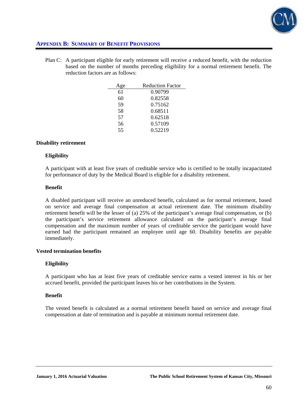

Plan C: A participant eligible for early retirement will receive a reduced benefit, with the reduction based on the number of months preceding eligibility for a normal retirement benefit. The reduction factors are as follows:

| <b>\ge</b> | <b>Reduction Factor</b> |
|------------|-------------------------|
| 61         | 0.90799                 |
| 60         | 0.82558                 |
| 59         | 0.75162                 |
| 58         | 0.68511                 |
| 57         | 0.62518                 |
| 56         | 0.57109                 |
| 55         | 0.52219                 |

## **Disability retirement**

#### **Eligibility**

A participant with at least five years of creditable service who is certified to be totally incapacitated for performance of duty by the Medical Board is eligible for a disability retirement.

#### **Benefit**

A disabled participant will receive an unreduced benefit, calculated as for normal retirement, based on service and average final compensation at actual retirement date. The minimum disability retirement benefit will be the lesser of (a) 25% of the participant's average final compensation, or (b) the participant's service retirement allowance calculated on the participant's average final compensation and the maximum number of years of creditable service the participant would have earned had the participant remained an employee until age 60. Disability benefits are payable immediately.

## **Vested termination benefits**

## **Eligibility**

A participant who has at least five years of creditable service earns a vested interest in his or her accrued benefit, provided the participant leaves his or her contributions in the System.

## **Benefit**

The vested benefit is calculated as a normal retirement benefit based on service and average final compensation at date of termination and is payable at minimum normal retirement date.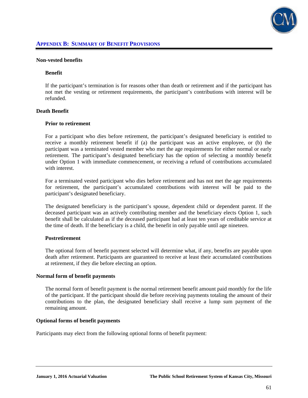

#### **Non-vested benefits**

#### **Benefit**

If the participant's termination is for reasons other than death or retirement and if the participant has not met the vesting or retirement requirements, the participant's contributions with interest will be refunded.

## **Death Benefit**

#### **Prior to retirement**

For a participant who dies before retirement, the participant's designated beneficiary is entitled to receive a monthly retirement benefit if (a) the participant was an active employee, or (b) the participant was a terminated vested member who met the age requirements for either normal or early retirement. The participant's designated beneficiary has the option of selecting a monthly benefit under Option 1 with immediate commencement, or receiving a refund of contributions accumulated with interest.

 For a terminated vested participant who dies before retirement and has not met the age requirements for retirement, the participant's accumulated contributions with interest will be paid to the participant's designated beneficiary.

 The designated beneficiary is the participant's spouse, dependent child or dependent parent. If the deceased participant was an actively contributing member and the beneficiary elects Option 1, such benefit shall be calculated as if the deceased participant had at least ten years of creditable service at the time of death. If the beneficiary is a child, the benefit in only payable until age nineteen.

## **Postretirement**

The optional form of benefit payment selected will determine what, if any, benefits are payable upon death after retirement. Participants are guaranteed to receive at least their accumulated contributions at retirement, if they die before electing an option.

## **Normal form of benefit payments**

The normal form of benefit payment is the normal retirement benefit amount paid monthly for the life of the participant. If the participant should die before receiving payments totaling the amount of their contributions to the plan, the designated beneficiary shall receive a lump sum payment of the remaining amount.

### **Optional forms of benefit payments**

Participants may elect from the following optional forms of benefit payment: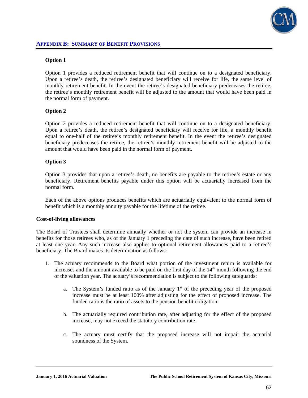

## **Option 1**

Option 1 provides a reduced retirement benefit that will continue on to a designated beneficiary. Upon a retiree's death, the retiree's designated beneficiary will receive for life, the same level of monthly retirement benefit. In the event the retiree's designated beneficiary predeceases the retiree, the retiree's monthly retirement benefit will be adjusted to the amount that would have been paid in the normal form of payment.

## **Option 2**

Option 2 provides a reduced retirement benefit that will continue on to a designated beneficiary. Upon a retiree's death, the retiree's designated beneficiary will receive for life, a monthly benefit equal to one-half of the retiree's monthly retirement benefit. In the event the retiree's designated beneficiary predeceases the retiree, the retiree's monthly retirement benefit will be adjusted to the amount that would have been paid in the normal form of payment.

## **Option 3**

Option 3 provides that upon a retiree's death, no benefits are payable to the retiree's estate or any beneficiary. Retirement benefits payable under this option will be actuarially increased from the normal form.

 Each of the above options produces benefits which are actuarially equivalent to the normal form of benefit which is a monthly annuity payable for the lifetime of the retiree.

## **Cost-of-living allowances**

The Board of Trustees shall determine annually whether or not the system can provide an increase in benefits for those retirees who, as of the January 1 preceding the date of such increase, have been retired at least one year. Any such increase also applies to optional retirement allowances paid to a retiree's beneficiary. The Board makes its determination as follows:

- 1. The actuary recommends to the Board what portion of the investment return is available for increases and the amount available to be paid on the first day of the  $14<sup>th</sup>$  month following the end of the valuation year. The actuary's recommendation is subject to the following safeguards:
	- a. The System's funded ratio as of the January  $1<sup>st</sup>$  of the preceding year of the proposed increase must be at least 100% after adjusting for the effect of proposed increase. The funded ratio is the ratio of assets to the pension benefit obligation.
	- b. The actuarially required contribution rate, after adjusting for the effect of the proposed increase, may not exceed the statutory contribution rate.
	- c. The actuary must certify that the proposed increase will not impair the actuarial soundness of the System.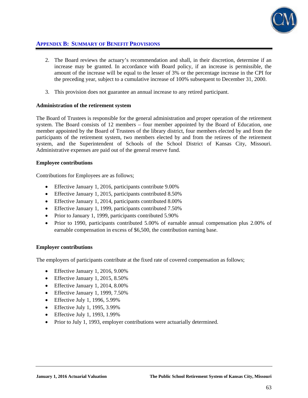

- 2. The Board reviews the actuary's recommendation and shall, in their discretion, determine if an increase may be granted. In accordance with Board policy, if an increase is permissible, the amount of the increase will be equal to the lesser of 3% or the percentage increase in the CPI for the preceding year, subject to a cumulative increase of 100% subsequent to December 31, 2000.
- 3. This provision does not guarantee an annual increase to any retired participant.

## **Administration of the retirement system**

The Board of Trustees is responsible for the general administration and proper operation of the retirement system. The Board consists of 12 members – four member appointed by the Board of Education, one member appointed by the Board of Trustees of the library district, four members elected by and from the participants of the retirement system, two members elected by and from the retirees of the retirement system, and the Superintendent of Schools of the School District of Kansas City, Missouri. Administrative expenses are paid out of the general reserve fund.

## **Employee contributions**

Contributions for Employees are as follows;

- Effective January 1, 2016, participants contribute 9.00%
- Effective January 1, 2015, participants contributed 8.50%
- Effective January 1, 2014, participants contributed 8.00%
- Effective January 1, 1999, participants contributed 7.50%
- Prior to January 1, 1999, participants contributed 5.90%
- Prior to 1990, participants contributed 5.00% of earnable annual compensation plus 2.00% of earnable compensation in excess of \$6,500, the contribution earning base.

## **Employer contributions**

The employers of participants contribute at the fixed rate of covered compensation as follows;

- Effective January 1, 2016, 9.00%
- Effective January 1, 2015, 8.50%
- Effective January 1, 2014, 8.00%
- $\bullet$  Effective January 1, 1999, 7.50%
- $\bullet$  Effective July 1, 1996, 5.99%
- $\bullet$  Effective July 1, 1995, 3.99%
- Effective July 1, 1993, 1.99%
- Prior to July 1, 1993, employer contributions were actuarially determined.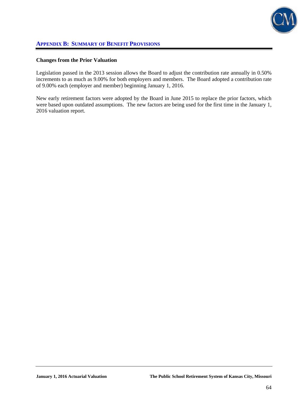

## **Changes from the Prior Valuation**

Legislation passed in the 2013 session allows the Board to adjust the contribution rate annually in 0.50% increments to as much as 9.00% for both employers and members. The Board adopted a contribution rate of 9.00% each (employer and member) beginning January 1, 2016.

New early retirement factors were adopted by the Board in June 2015 to replace the prior factors, which were based upon outdated assumptions. The new factors are being used for the first time in the January 1, 2016 valuation report.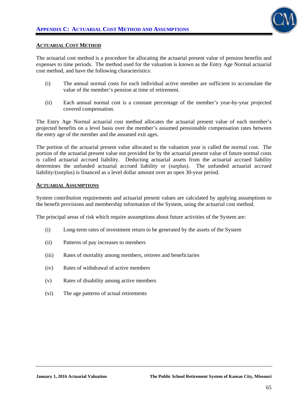

## **ACTUARIAL COST METHOD**

The actuarial cost method is a procedure for allocating the actuarial present value of pension benefits and expenses to time periods. The method used for the valuation is known as the Entry Age Normal actuarial cost method, and have the following characteristics:

- (i) The annual normal costs for each individual active member are sufficient to accumulate the value of the member's pension at time of retirement.
- (ii) Each annual normal cost is a constant percentage of the member's year-by-year projected covered compensation.

The Entry Age Normal actuarial cost method allocates the actuarial present value of each member's projected benefits on a level basis over the member's assumed pensionable compensation rates between the entry age of the member and the assumed exit ages.

The portion of the actuarial present value allocated to the valuation year is called the normal cost. The portion of the actuarial present value not provided for by the actuarial present value of future normal costs is called actuarial accrued liability. Deducting actuarial assets from the actuarial accrued liability determines the unfunded actuarial accrued liability or (surplus). The unfunded actuarial accrued liability/(surplus) is financed as a level dollar amount over an open 30-year period.

### **ACTUARIAL ASSUMPTIONS**

System contribution requirements and actuarial present values are calculated by applying assumptions to the benefit provisions and membership information of the System, using the actuarial cost method.

The principal areas of risk which require assumptions about future activities of the System are:

- (i) Long-term rates of investment return to be generated by the assets of the System
- (ii) Patterns of pay increases to members
- (iii) Rates of mortality among members, retirees and beneficiaries
- (iv) Rates of withdrawal of active members
- (v) Rates of disability among active members
- (vi) The age patterns of actual retirements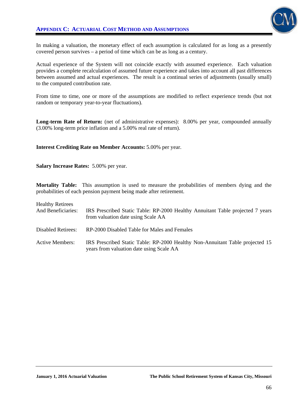

In making a valuation, the monetary effect of each assumption is calculated for as long as a presently covered person survives – a period of time which can be as long as a century.

Actual experience of the System will not coincide exactly with assumed experience. Each valuation provides a complete recalculation of assumed future experience and takes into account all past differences between assumed and actual experiences. The result is a continual series of adjustments (usually small) to the computed contribution rate.

From time to time, one or more of the assumptions are modified to reflect experience trends (but not random or temporary year-to-year fluctuations).

Long-term Rate of Return: (net of administrative expenses): 8.00% per year, compounded annually (3.00% long-term price inflation and a 5.00% real rate of return).

#### **Interest Crediting Rate on Member Accounts:** 5.00% per year.

**Salary Increase Rates:** 5.00% per year.

**Mortality Table:** This assumption is used to measure the probabilities of members dying and the probabilities of each pension payment being made after retirement.

| <b>Healthy Retirees</b><br>And Beneficiaries: | IRS Prescribed Static Table: RP-2000 Healthy Annuitant Table projected 7 years<br>from valuation date using Scale AA      |
|-----------------------------------------------|---------------------------------------------------------------------------------------------------------------------------|
| <b>Disabled Retirees:</b>                     | RP-2000 Disabled Table for Males and Females                                                                              |
| Active Members:                               | IRS Prescribed Static Table: RP-2000 Healthy Non-Annuitant Table projected 15<br>years from valuation date using Scale AA |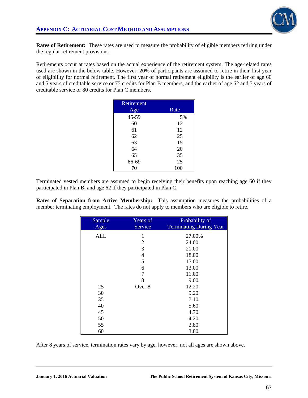

**Rates of Retirement:** These rates are used to measure the probability of eligible members retiring under the regular retirement provisions.

Retirements occur at rates based on the actual experience of the retirement system. The age-related rates used are shown in the below table. However, 20% of participants are assumed to retire in their first year of eligibility for normal retirement. The first year of normal retirement eligibility is the earlier of age 60 and 5 years of creditable service or 75 credits for Plan B members, and the earlier of age 62 and 5 years of creditable service or 80 credits for Plan C members.

| Retirement |      |
|------------|------|
| Age        | Rate |
| 45-59      | 5%   |
| 60         | 12   |
| 61         | 12   |
| 62         | 25   |
| 63         | 15   |
| 64         | 20   |
| 65         | 35   |
| 66-69      | 25   |
| 70         | 100  |

Terminated vested members are assumed to begin receiving their benefits upon reaching age 60 if they participated in Plan B, and age 62 if they participated in Plan C.

**Rates of Separation from Active Membership:** This assumption measures the probabilities of a member terminating employment. The rates do not apply to members who are eligible to retire.

| Sample     | Years of       | Probability of                 |
|------------|----------------|--------------------------------|
| Ages       | Service        | <b>Terminating During Year</b> |
| <b>ALL</b> | 1              | 27.00%                         |
|            | $\overline{c}$ | 24.00                          |
|            | $\overline{3}$ | 21.00                          |
|            | $\overline{4}$ | 18.00                          |
|            | 5              | 15.00                          |
|            | 6              | 13.00                          |
|            | 7              | 11.00                          |
|            | 8              | 9.00                           |
| 25         | Over 8         | 12.20                          |
| 30         |                | 9.20                           |
| 35         |                | 7.10                           |
| 40         |                | 5.60                           |
| 45         |                | 4.70                           |
| 50         |                | 4.20                           |
| 55         |                | 3.80                           |
| 60         |                | 3.80                           |

After 8 years of service, termination rates vary by age, however, not all ages are shown above.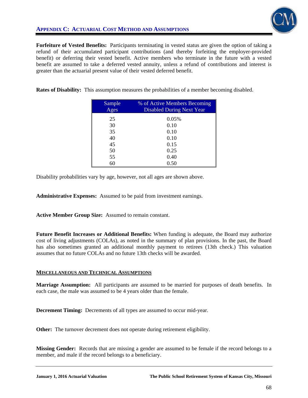

**Forfeiture of Vested Benefits:** Participants terminating in vested status are given the option of taking a refund of their accumulated participant contributions (and thereby forfeiting the employer-provided benefit) or deferring their vested benefit. Active members who terminate in the future with a vested benefit are assumed to take a deferred vested annuity, unless a refund of contributions and interest is greater than the actuarial present value of their vested deferred benefit.

**Rates of Disability:** This assumption measures the probabilities of a member becoming disabled.

| Sample<br>Ages | % of Active Members Becoming<br><b>Disabled During Next Year</b> |
|----------------|------------------------------------------------------------------|
| 25             | 0.05%                                                            |
| 30             | 0.10                                                             |
| 35             | 0.10                                                             |
| 40             | 0.10                                                             |
| 45             | 0.15                                                             |
| 50             | 0.25                                                             |
| 55             | 0.40                                                             |
| 60             | 0.50                                                             |

Disability probabilities vary by age, however, not all ages are shown above.

**Administrative Expenses:** Assumed to be paid from investment earnings.

**Active Member Group Size:** Assumed to remain constant.

**Future Benefit Increases or Additional Benefits:** When funding is adequate, the Board may authorize cost of living adjustments (COLAs), as noted in the summary of plan provisions. In the past, the Board has also sometimes granted an additional monthly payment to retirees (13th check.) This valuation assumes that no future COLAs and no future 13th checks will be awarded.

## **MISCELLANEOUS AND TECHNICAL ASSUMPTIONS**

**Marriage Assumption:** All participants are assumed to be married for purposes of death benefits. In each case, the male was assumed to be 4 years older than the female.

**Decrement Timing:** Decrements of all types are assumed to occur mid-year.

**Other:** The turnover decrement does not operate during retirement eligibility.

**Missing Gender:** Records that are missing a gender are assumed to be female if the record belongs to a member, and male if the record belongs to a beneficiary.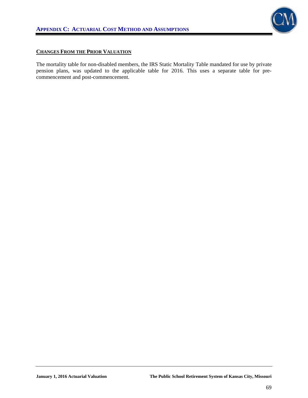

## **CHANGES FROM THE PRIOR VALUATION**

The mortality table for non-disabled members, the IRS Static Mortality Table mandated for use by private pension plans, was updated to the applicable table for 2016. This uses a separate table for precommencement and post-commencement.